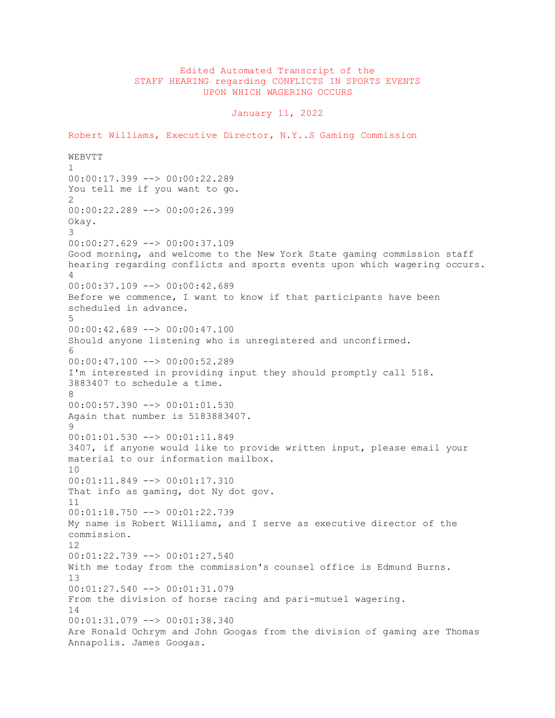## Edited Automated Transcript of the STAFF HEARING regarding CONFLICTS IN SPORTS EVENTS UPON WHICH WAGERING OCCURS

January 11, 2022

Robert Williams, Executive Director, N.Y..S Gaming Commission WEBVTT 1 00:00:17.399 --> 00:00:22.289 You tell me if you want to go.  $\mathcal{D}$ 00:00:22.289 --> 00:00:26.399 Okay. 3 00:00:27.629 --> 00:00:37.109 Good morning, and welcome to the New York State gaming commission staff hearing regarding conflicts and sports events upon which wagering occurs. 4 00:00:37.109 --> 00:00:42.689 Before we commence, I want to know if that participants have been scheduled in advance. 5 00:00:42.689 --> 00:00:47.100 Should anyone listening who is unregistered and unconfirmed. 6 00:00:47.100 --> 00:00:52.289 I'm interested in providing input they should promptly call 518. 3883407 to schedule a time. 8 00:00:57.390 --> 00:01:01.530 Again that number is 5183883407. 9 00:01:01.530 --> 00:01:11.849 3407, if anyone would like to provide written input, please email your material to our information mailbox.  $1<sub>0</sub>$ 00:01:11.849 --> 00:01:17.310 That info as gaming, dot Ny dot gov. 11 00:01:18.750 --> 00:01:22.739 My name is Robert Williams, and I serve as executive director of the commission. 12 00:01:22.739 --> 00:01:27.540 With me today from the commission's counsel office is Edmund Burns. 13 00:01:27.540 --> 00:01:31.079 From the division of horse racing and pari-mutuel wagering. 14 00:01:31.079 --> 00:01:38.340 Are Ronald Ochrym and John Googas from the division of gaming are Thomas Annapolis. James Googas.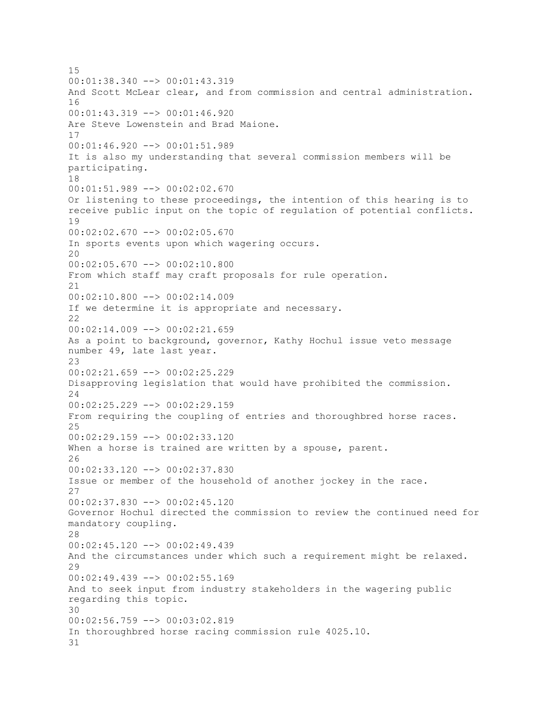15 00:01:38.340 --> 00:01:43.319 And Scott McLear clear, and from commission and central administration. 16 00:01:43.319 --> 00:01:46.920 Are Steve Lowenstein and Brad Maione. 17 00:01:46.920 --> 00:01:51.989 It is also my understanding that several commission members will be participating. 18 00:01:51.989 --> 00:02:02.670 Or listening to these proceedings, the intention of this hearing is to receive public input on the topic of regulation of potential conflicts. 19  $00:02:02.670$  -->  $00:02:05.670$ In sports events upon which wagering occurs. 20 00:02:05.670 --> 00:02:10.800 From which staff may craft proposals for rule operation. 21 00:02:10.800 --> 00:02:14.009 If we determine it is appropriate and necessary.  $22$ 00:02:14.009 --> 00:02:21.659 As a point to background, governor, Kathy Hochul issue veto message number 49, late last year. 23 00:02:21.659 --> 00:02:25.229 Disapproving legislation that would have prohibited the commission. 24 00:02:25.229 --> 00:02:29.159 From requiring the coupling of entries and thoroughbred horse races. 25 00:02:29.159 --> 00:02:33.120 When a horse is trained are written by a spouse, parent. 26 00:02:33.120 --> 00:02:37.830 Issue or member of the household of another jockey in the race. 27 00:02:37.830 --> 00:02:45.120 Governor Hochul directed the commission to review the continued need for mandatory coupling. 28 00:02:45.120 --> 00:02:49.439 And the circumstances under which such a requirement might be relaxed.  $29$ 00:02:49.439 --> 00:02:55.169 And to seek input from industry stakeholders in the wagering public regarding this topic. 30 00:02:56.759 --> 00:03:02.819 In thoroughbred horse racing commission rule 4025.10. 31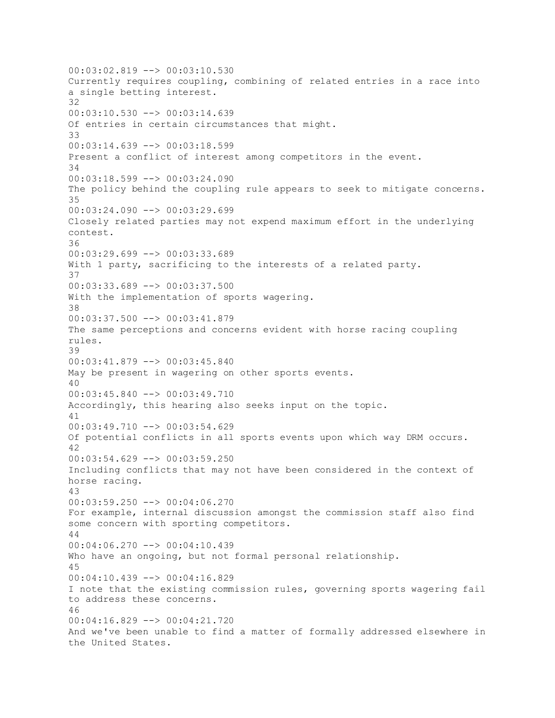00:03:02.819 --> 00:03:10.530 Currently requires coupling, combining of related entries in a race into a single betting interest. 32 00:03:10.530 --> 00:03:14.639 Of entries in certain circumstances that might. 33 00:03:14.639 --> 00:03:18.599 Present a conflict of interest among competitors in the event. 34 00:03:18.599 --> 00:03:24.090 The policy behind the coupling rule appears to seek to mitigate concerns. 35 00:03:24.090 --> 00:03:29.699 Closely related parties may not expend maximum effort in the underlying contest. 36 00:03:29.699 --> 00:03:33.689 With 1 party, sacrificing to the interests of a related party. 37 00:03:33.689 --> 00:03:37.500 With the implementation of sports wagering. 38 00:03:37.500 --> 00:03:41.879 The same perceptions and concerns evident with horse racing coupling rules. 39 00:03:41.879 --> 00:03:45.840 May be present in wagering on other sports events. 40 00:03:45.840 --> 00:03:49.710 Accordingly, this hearing also seeks input on the topic. 41  $00:03:49.710$  -->  $00:03:54.629$ Of potential conflicts in all sports events upon which way DRM occurs. 42 00:03:54.629 --> 00:03:59.250 Including conflicts that may not have been considered in the context of horse racing. 43 00:03:59.250 --> 00:04:06.270 For example, internal discussion amongst the commission staff also find some concern with sporting competitors. 44  $00:04:06.270$  -->  $00:04:10.439$ Who have an ongoing, but not formal personal relationship. 45 00:04:10.439 --> 00:04:16.829 I note that the existing commission rules, governing sports wagering fail to address these concerns. 46 00:04:16.829 --> 00:04:21.720 And we've been unable to find a matter of formally addressed elsewhere in the United States.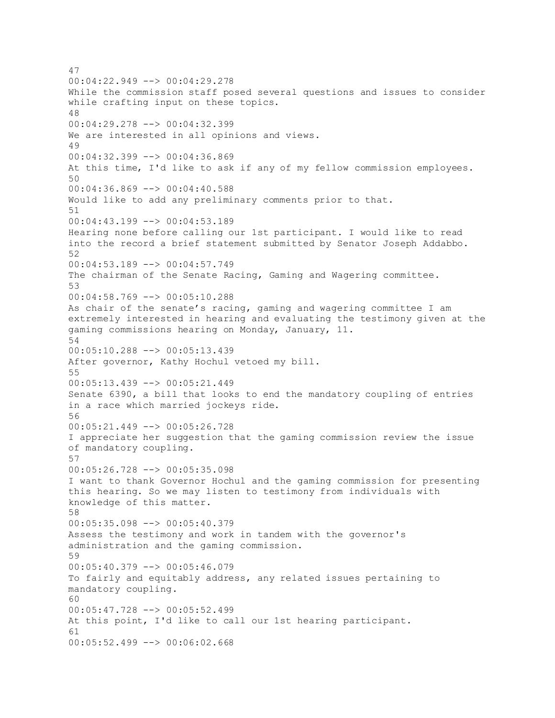47 00:04:22.949 --> 00:04:29.278 While the commission staff posed several questions and issues to consider while crafting input on these topics. 48 00:04:29.278 --> 00:04:32.399 We are interested in all opinions and views. 49 00:04:32.399 --> 00:04:36.869 At this time, I'd like to ask if any of my fellow commission employees. 50 00:04:36.869 --> 00:04:40.588 Would like to add any preliminary comments prior to that. 51 00:04:43.199 --> 00:04:53.189 Hearing none before calling our 1st participant. I would like to read into the record a brief statement submitted by Senator Joseph Addabbo. 52 00:04:53.189 --> 00:04:57.749 The chairman of the Senate Racing, Gaming and Wagering committee. 53 00:04:58.769 --> 00:05:10.288 As chair of the senate's racing, gaming and wagering committee I am extremely interested in hearing and evaluating the testimony given at the gaming commissions hearing on Monday, January, 11. 54 00:05:10.288 --> 00:05:13.439 After governor, Kathy Hochul vetoed my bill. 55 00:05:13.439 --> 00:05:21.449 Senate 6390, a bill that looks to end the mandatory coupling of entries in a race which married jockeys ride. 56 00:05:21.449 --> 00:05:26.728 I appreciate her suggestion that the gaming commission review the issue of mandatory coupling. 57 00:05:26.728 --> 00:05:35.098 I want to thank Governor Hochul and the gaming commission for presenting this hearing. So we may listen to testimony from individuals with knowledge of this matter. 58 00:05:35.098 --> 00:05:40.379 Assess the testimony and work in tandem with the governor's administration and the gaming commission. 59 00:05:40.379 --> 00:05:46.079 To fairly and equitably address, any related issues pertaining to mandatory coupling. 60 00:05:47.728 --> 00:05:52.499 At this point, I'd like to call our 1st hearing participant. 61 00:05:52.499 --> 00:06:02.668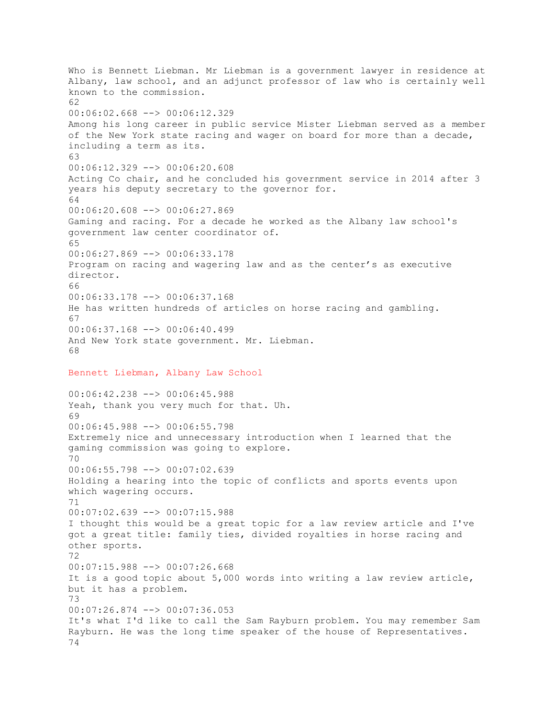Who is Bennett Liebman. Mr Liebman is a government lawyer in residence at Albany, law school, and an adjunct professor of law who is certainly well known to the commission. 62 00:06:02.668 --> 00:06:12.329 Among his long career in public service Mister Liebman served as a member of the New York state racing and wager on board for more than a decade, including a term as its. 63 00:06:12.329 --> 00:06:20.608 Acting Co chair, and he concluded his government service in 2014 after 3 years his deputy secretary to the governor for. 64 00:06:20.608 --> 00:06:27.869 Gaming and racing. For a decade he worked as the Albany law school's government law center coordinator of. 65 00:06:27.869 --> 00:06:33.178 Program on racing and wagering law and as the center's as executive director. 66 00:06:33.178 --> 00:06:37.168 He has written hundreds of articles on horse racing and gambling. 67 00:06:37.168 --> 00:06:40.499 And New York state government. Mr. Liebman. 68 Bennett Liebman, Albany Law School 00:06:42.238 --> 00:06:45.988 Yeah, thank you very much for that. Uh. 69 00:06:45.988 --> 00:06:55.798 Extremely nice and unnecessary introduction when I learned that the gaming commission was going to explore.  $70$ 00:06:55.798 --> 00:07:02.639 Holding a hearing into the topic of conflicts and sports events upon which wagering occurs. 71 00:07:02.639 --> 00:07:15.988 I thought this would be a great topic for a law review article and I've got a great title: family ties, divided royalties in horse racing and other sports. 72 00:07:15.988 --> 00:07:26.668 It is a good topic about 5,000 words into writing a law review article, but it has a problem. 73 00:07:26.874 --> 00:07:36.053 It's what I'd like to call the Sam Rayburn problem. You may remember Sam Rayburn. He was the long time speaker of the house of Representatives. 74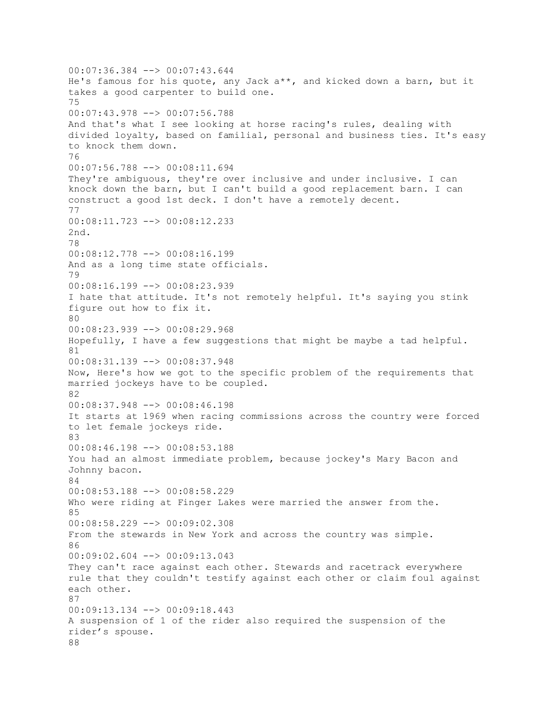00:07:36.384 --> 00:07:43.644 He's famous for his quote, any Jack a\*\*, and kicked down a barn, but it takes a good carpenter to build one. 75 00:07:43.978 --> 00:07:56.788 And that's what I see looking at horse racing's rules, dealing with divided loyalty, based on familial, personal and business ties. It's easy to knock them down. 76 00:07:56.788 --> 00:08:11.694 They're ambiguous, they're over inclusive and under inclusive. I can knock down the barn, but I can't build a good replacement barn. I can construct a good 1st deck. I don't have a remotely decent. 77 00:08:11.723 --> 00:08:12.233 2nd. 78 00:08:12.778 --> 00:08:16.199 And as a long time state officials. 79 00:08:16.199 --> 00:08:23.939 I hate that attitude. It's not remotely helpful. It's saying you stink figure out how to fix it.  $80$ 00:08:23.939 --> 00:08:29.968 Hopefully, I have a few suggestions that might be maybe a tad helpful. 81 00:08:31.139 --> 00:08:37.948 Now, Here's how we got to the specific problem of the requirements that married jockeys have to be coupled. 82 00:08:37.948 --> 00:08:46.198 It starts at 1969 when racing commissions across the country were forced to let female jockeys ride. 83 00:08:46.198 --> 00:08:53.188 You had an almost immediate problem, because jockey's Mary Bacon and Johnny bacon. 84 00:08:53.188 --> 00:08:58.229 Who were riding at Finger Lakes were married the answer from the. 85 00:08:58.229 --> 00:09:02.308 From the stewards in New York and across the country was simple. 86 00:09:02.604 --> 00:09:13.043 They can't race against each other. Stewards and racetrack everywhere rule that they couldn't testify against each other or claim foul against each other. 87 00:09:13.134 --> 00:09:18.443 A suspension of 1 of the rider also required the suspension of the rider's spouse. 88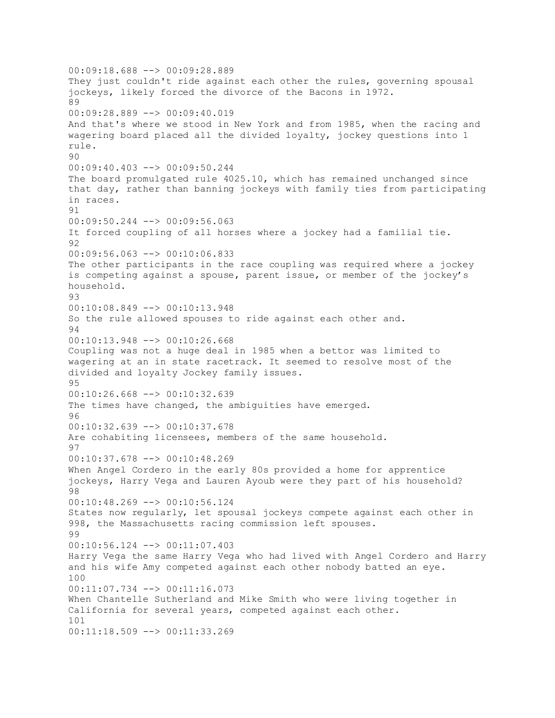00:09:18.688 --> 00:09:28.889 They just couldn't ride against each other the rules, governing spousal jockeys, likely forced the divorce of the Bacons in 1972. 89 00:09:28.889 --> 00:09:40.019 And that's where we stood in New York and from 1985, when the racing and wagering board placed all the divided loyalty, jockey questions into 1 rule. 90 00:09:40.403 --> 00:09:50.244 The board promulgated rule 4025.10, which has remained unchanged since that day, rather than banning jockeys with family ties from participating in races. 91 00:09:50.244 --> 00:09:56.063 It forced coupling of all horses where a jockey had a familial tie.  $92$ 00:09:56.063 --> 00:10:06.833 The other participants in the race coupling was required where a jockey is competing against a spouse, parent issue, or member of the jockey's household. 93 00:10:08.849 --> 00:10:13.948 So the rule allowed spouses to ride against each other and. 94 00:10:13.948 --> 00:10:26.668 Coupling was not a huge deal in 1985 when a bettor was limited to wagering at an in state racetrack. It seemed to resolve most of the divided and loyalty Jockey family issues. 95 00:10:26.668 --> 00:10:32.639 The times have changed, the ambiguities have emerged. 96 00:10:32.639 --> 00:10:37.678 Are cohabiting licensees, members of the same household. 97 00:10:37.678 --> 00:10:48.269 When Angel Cordero in the early 80s provided a home for apprentice jockeys, Harry Vega and Lauren Ayoub were they part of his household? 98 00:10:48.269 --> 00:10:56.124 States now regularly, let spousal jockeys compete against each other in 998, the Massachusetts racing commission left spouses. 99 00:10:56.124 --> 00:11:07.403 Harry Vega the same Harry Vega who had lived with Angel Cordero and Harry and his wife Amy competed against each other nobody batted an eye. 100 00:11:07.734 --> 00:11:16.073 When Chantelle Sutherland and Mike Smith who were living together in California for several years, competed against each other. 101 00:11:18.509 --> 00:11:33.269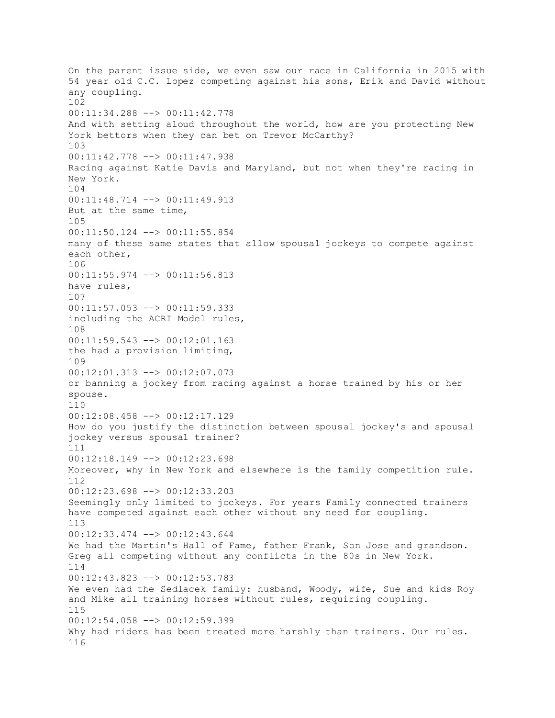On the parent issue side, we even saw our race in California in 2015 with 54 year old C.C. Lopez competing against his sons, Erik and David without any coupling. 102 00:11:34.288 --> 00:11:42.778 And with setting aloud throughout the world, how are you protecting New York bettors when they can bet on Trevor McCarthy? 103 00:11:42.778 --> 00:11:47.938 Racing against Katie Davis and Maryland, but not when they're racing in New York. 104 00:11:48.714 --> 00:11:49.913 But at the same time, 105 00:11:50.124 --> 00:11:55.854 many of these same states that allow spousal jockeys to compete against each other, 106 00:11:55.974 --> 00:11:56.813 have rules, 107 00:11:57.053 --> 00:11:59.333 including the ACRI Model rules, 108 00:11:59.543 --> 00:12:01.163 the had a provision limiting, 109 00:12:01.313 --> 00:12:07.073 or banning a jockey from racing against a horse trained by his or her spouse. 110 00:12:08.458 --> 00:12:17.129 How do you justify the distinction between spousal jockey's and spousal jockey versus spousal trainer? 111 00:12:18.149 --> 00:12:23.698 Moreover, why in New York and elsewhere is the family competition rule. 112 00:12:23.698 --> 00:12:33.203 Seemingly only limited to jockeys. For years Family connected trainers have competed against each other without any need for coupling. 113 00:12:33.474 --> 00:12:43.644 We had the Martin's Hall of Fame, father Frank, Son Jose and grandson. Greg all competing without any conflicts in the 80s in New York. 114 00:12:43.823 --> 00:12:53.783 We even had the Sedlacek family: husband, Woody, wife, Sue and kids Roy and Mike all training horses without rules, requiring coupling. 115 00:12:54.058 --> 00:12:59.399 Why had riders has been treated more harshly than trainers. Our rules. 116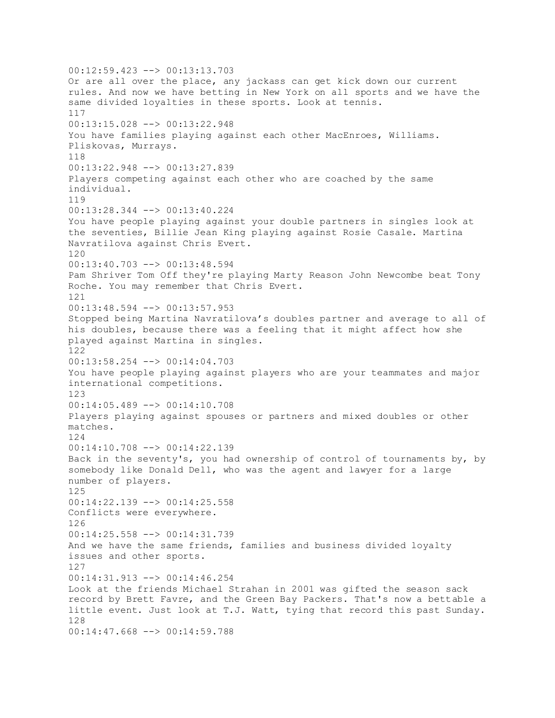00:12:59.423 --> 00:13:13.703 Or are all over the place, any jackass can get kick down our current rules. And now we have betting in New York on all sports and we have the same divided loyalties in these sports. Look at tennis. 117 00:13:15.028 --> 00:13:22.948 You have families playing against each other MacEnroes, Williams. Pliskovas, Murrays. 118 00:13:22.948 --> 00:13:27.839 Players competing against each other who are coached by the same individual. 119 00:13:28.344 --> 00:13:40.224 You have people playing against your double partners in singles look at the seventies, Billie Jean King playing against Rosie Casale. Martina Navratilova against Chris Evert. 120 00:13:40.703 --> 00:13:48.594 Pam Shriver Tom Off they're playing Marty Reason John Newcombe beat Tony Roche. You may remember that Chris Evert. 121 00:13:48.594 --> 00:13:57.953 Stopped being Martina Navratilova's doubles partner and average to all of his doubles, because there was a feeling that it might affect how she played against Martina in singles. 122 00:13:58.254 --> 00:14:04.703 You have people playing against players who are your teammates and major international competitions. 123 00:14:05.489 --> 00:14:10.708 Players playing against spouses or partners and mixed doubles or other matches. 124 00:14:10.708 --> 00:14:22.139 Back in the seventy's, you had ownership of control of tournaments by, by somebody like Donald Dell, who was the agent and lawyer for a large number of players. 125 00:14:22.139 --> 00:14:25.558 Conflicts were everywhere. 126 00:14:25.558 --> 00:14:31.739 And we have the same friends, families and business divided loyalty issues and other sports. 127 00:14:31.913 --> 00:14:46.254 Look at the friends Michael Strahan in 2001 was gifted the season sack record by Brett Favre, and the Green Bay Packers. That's now a bettable a little event. Just look at T.J. Watt, tying that record this past Sunday. 128 00:14:47.668 --> 00:14:59.788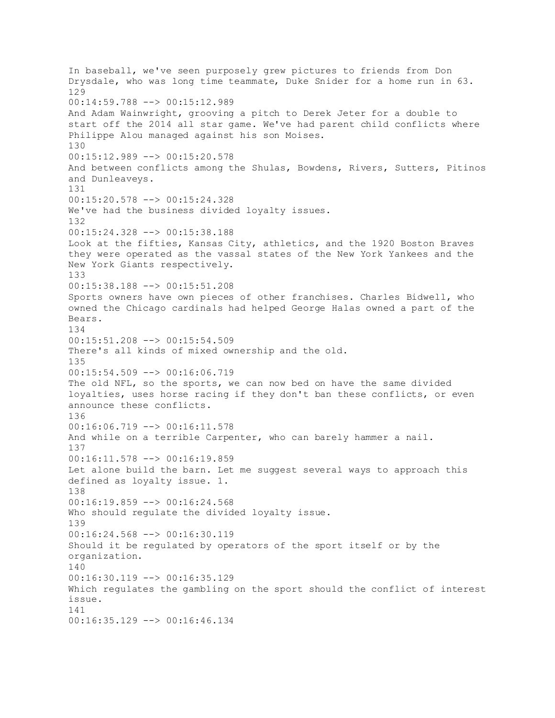In baseball, we've seen purposely grew pictures to friends from Don Drysdale, who was long time teammate, Duke Snider for a home run in 63. 129 00:14:59.788 --> 00:15:12.989 And Adam Wainwright, grooving a pitch to Derek Jeter for a double to start off the 2014 all star game. We've had parent child conflicts where Philippe Alou managed against his son Moises. 130 00:15:12.989 --> 00:15:20.578 And between conflicts among the Shulas, Bowdens, Rivers, Sutters, Pitinos and Dunleaveys. 131 00:15:20.578 --> 00:15:24.328 We've had the business divided loyalty issues. 132 00:15:24.328 --> 00:15:38.188 Look at the fifties, Kansas City, athletics, and the 1920 Boston Braves they were operated as the vassal states of the New York Yankees and the New York Giants respectively. 133 00:15:38.188 --> 00:15:51.208 Sports owners have own pieces of other franchises. Charles Bidwell, who owned the Chicago cardinals had helped George Halas owned a part of the Bears. 134 00:15:51.208 --> 00:15:54.509 There's all kinds of mixed ownership and the old. 135 00:15:54.509 --> 00:16:06.719 The old NFL, so the sports, we can now bed on have the same divided loyalties, uses horse racing if they don't ban these conflicts, or even announce these conflicts. 136 00:16:06.719 --> 00:16:11.578 And while on a terrible Carpenter, who can barely hammer a nail. 137 00:16:11.578 --> 00:16:19.859 Let alone build the barn. Let me suggest several ways to approach this defined as loyalty issue. 1. 138 00:16:19.859 --> 00:16:24.568 Who should regulate the divided loyalty issue. 139 00:16:24.568 --> 00:16:30.119 Should it be regulated by operators of the sport itself or by the organization. 140 00:16:30.119 --> 00:16:35.129 Which regulates the gambling on the sport should the conflict of interest issue. 141 00:16:35.129 --> 00:16:46.134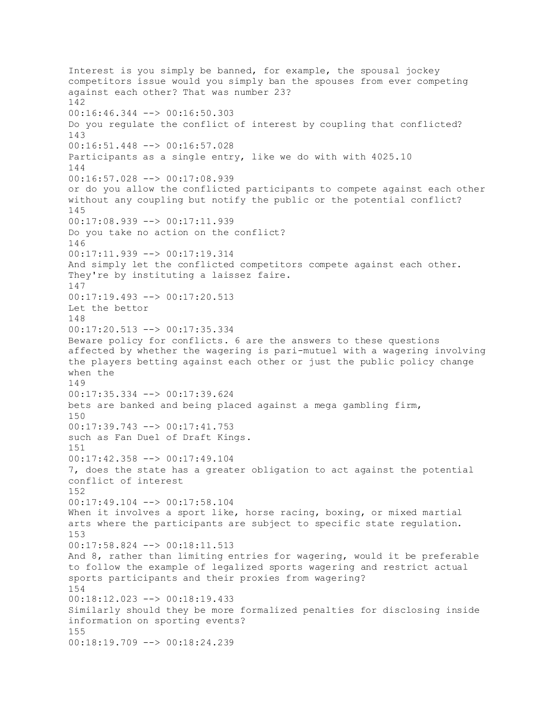Interest is you simply be banned, for example, the spousal jockey competitors issue would you simply ban the spouses from ever competing against each other? That was number 23? 142 00:16:46.344 --> 00:16:50.303 Do you regulate the conflict of interest by coupling that conflicted? 143 00:16:51.448 --> 00:16:57.028 Participants as a single entry, like we do with with 4025.10 144 00:16:57.028 --> 00:17:08.939 or do you allow the conflicted participants to compete against each other without any coupling but notify the public or the potential conflict? 145 00:17:08.939 --> 00:17:11.939 Do you take no action on the conflict? 146 00:17:11.939 --> 00:17:19.314 And simply let the conflicted competitors compete against each other. They're by instituting a laissez faire. 147 00:17:19.493 --> 00:17:20.513 Let the bettor 148 00:17:20.513 --> 00:17:35.334 Beware policy for conflicts. 6 are the answers to these questions affected by whether the wagering is pari-mutuel with a wagering involving the players betting against each other or just the public policy change when the 149 00:17:35.334 --> 00:17:39.624 bets are banked and being placed against a mega gambling firm, 150 00:17:39.743 --> 00:17:41.753 such as Fan Duel of Draft Kings. 151 00:17:42.358 --> 00:17:49.104 7, does the state has a greater obligation to act against the potential conflict of interest 152 00:17:49.104 --> 00:17:58.104 When it involves a sport like, horse racing, boxing, or mixed martial arts where the participants are subject to specific state regulation. 153 00:17:58.824 --> 00:18:11.513 And 8, rather than limiting entries for wagering, would it be preferable to follow the example of legalized sports wagering and restrict actual sports participants and their proxies from wagering? 154 00:18:12.023 --> 00:18:19.433 Similarly should they be more formalized penalties for disclosing inside information on sporting events? 155 00:18:19.709 --> 00:18:24.239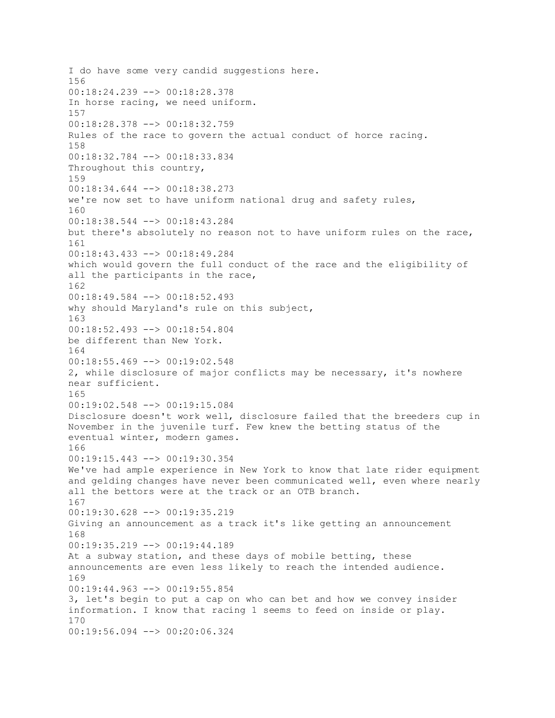I do have some very candid suggestions here. 156 00:18:24.239 --> 00:18:28.378 In horse racing, we need uniform. 157 00:18:28.378 --> 00:18:32.759 Rules of the race to govern the actual conduct of horce racing. 158 00:18:32.784 --> 00:18:33.834 Throughout this country, 159 00:18:34.644 --> 00:18:38.273 we're now set to have uniform national drug and safety rules, 160 00:18:38.544 --> 00:18:43.284 but there's absolutely no reason not to have uniform rules on the race, 161 00:18:43.433 --> 00:18:49.284 which would govern the full conduct of the race and the eligibility of all the participants in the race, 162 00:18:49.584 --> 00:18:52.493 why should Maryland's rule on this subject, 163 00:18:52.493 --> 00:18:54.804 be different than New York. 164  $00:18:55.469$  -->  $00:19:02.548$ 2, while disclosure of major conflicts may be necessary, it's nowhere near sufficient. 165 00:19:02.548 --> 00:19:15.084 Disclosure doesn't work well, disclosure failed that the breeders cup in November in the juvenile turf. Few knew the betting status of the eventual winter, modern games. 166 00:19:15.443 --> 00:19:30.354 We've had ample experience in New York to know that late rider equipment and gelding changes have never been communicated well, even where nearly all the bettors were at the track or an OTB branch. 167 00:19:30.628 --> 00:19:35.219 Giving an announcement as a track it's like getting an announcement 168 00:19:35.219 --> 00:19:44.189 At a subway station, and these days of mobile betting, these announcements are even less likely to reach the intended audience. 169 00:19:44.963 --> 00:19:55.854 3, let's begin to put a cap on who can bet and how we convey insider information. I know that racing 1 seems to feed on inside or play. 170 00:19:56.094 --> 00:20:06.324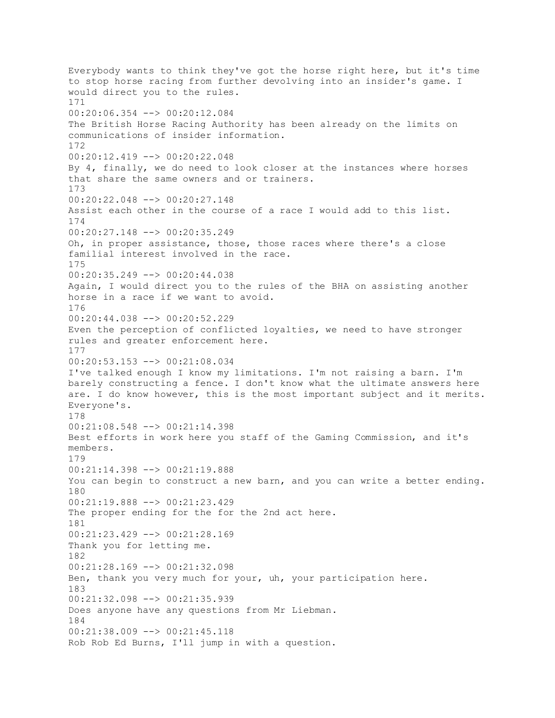Everybody wants to think they've got the horse right here, but it's time to stop horse racing from further devolving into an insider's game. I would direct you to the rules. 171 00:20:06.354 --> 00:20:12.084 The British Horse Racing Authority has been already on the limits on communications of insider information. 172 00:20:12.419 --> 00:20:22.048 By 4, finally, we do need to look closer at the instances where horses that share the same owners and or trainers. 173 00:20:22.048 --> 00:20:27.148 Assist each other in the course of a race I would add to this list. 174 00:20:27.148 --> 00:20:35.249 Oh, in proper assistance, those, those races where there's a close familial interest involved in the race. 175 00:20:35.249 --> 00:20:44.038 Again, I would direct you to the rules of the BHA on assisting another horse in a race if we want to avoid. 176 00:20:44.038 --> 00:20:52.229 Even the perception of conflicted loyalties, we need to have stronger rules and greater enforcement here. 177 00:20:53.153 --> 00:21:08.034 I've talked enough I know my limitations. I'm not raising a barn. I'm barely constructing a fence. I don't know what the ultimate answers here are. I do know however, this is the most important subject and it merits. Everyone's. 178 00:21:08.548 --> 00:21:14.398 Best efforts in work here you staff of the Gaming Commission, and it's members. 179 00:21:14.398 --> 00:21:19.888 You can begin to construct a new barn, and you can write a better ending. 180 00:21:19.888 --> 00:21:23.429 The proper ending for the for the 2nd act here. 181 00:21:23.429 --> 00:21:28.169 Thank you for letting me. 182 00:21:28.169 --> 00:21:32.098 Ben, thank you very much for your, uh, your participation here. 183 00:21:32.098 --> 00:21:35.939 Does anyone have any questions from Mr Liebman. 184 00:21:38.009 --> 00:21:45.118 Rob Rob Ed Burns, I'll jump in with a question.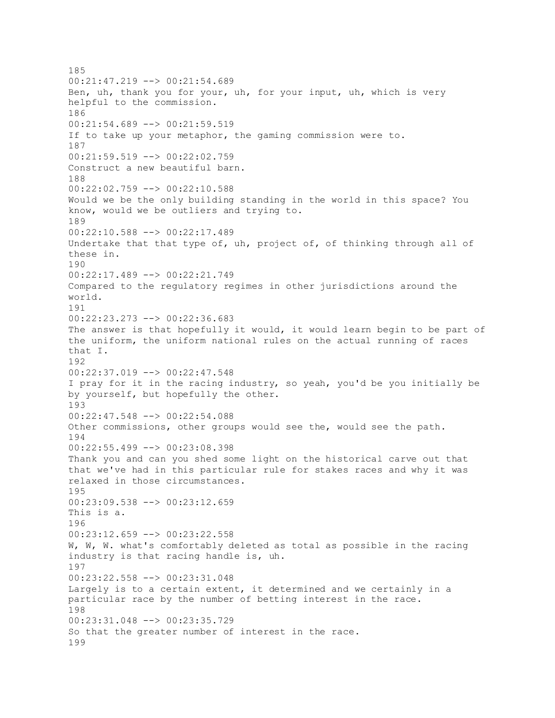185 00:21:47.219 --> 00:21:54.689 Ben, uh, thank you for your, uh, for your input, uh, which is very helpful to the commission. 186 00:21:54.689 --> 00:21:59.519 If to take up your metaphor, the gaming commission were to. 187 00:21:59.519 --> 00:22:02.759 Construct a new beautiful barn. 188 00:22:02.759 --> 00:22:10.588 Would we be the only building standing in the world in this space? You know, would we be outliers and trying to. 189 00:22:10.588 --> 00:22:17.489 Undertake that that type of, uh, project of, of thinking through all of these in. 190 00:22:17.489 --> 00:22:21.749 Compared to the regulatory regimes in other jurisdictions around the world. 191 00:22:23.273 --> 00:22:36.683 The answer is that hopefully it would, it would learn begin to be part of the uniform, the uniform national rules on the actual running of races that I. 192 00:22:37.019 --> 00:22:47.548 I pray for it in the racing industry, so yeah, you'd be you initially be by yourself, but hopefully the other. 193 00:22:47.548 --> 00:22:54.088 Other commissions, other groups would see the, would see the path. 194 00:22:55.499 --> 00:23:08.398 Thank you and can you shed some light on the historical carve out that that we've had in this particular rule for stakes races and why it was relaxed in those circumstances. 195 00:23:09.538 --> 00:23:12.659 This is a. 196 00:23:12.659 --> 00:23:22.558 W, W, W. what's comfortably deleted as total as possible in the racing industry is that racing handle is, uh. 197 00:23:22.558 --> 00:23:31.048 Largely is to a certain extent, it determined and we certainly in a particular race by the number of betting interest in the race. 198 00:23:31.048 --> 00:23:35.729 So that the greater number of interest in the race. 199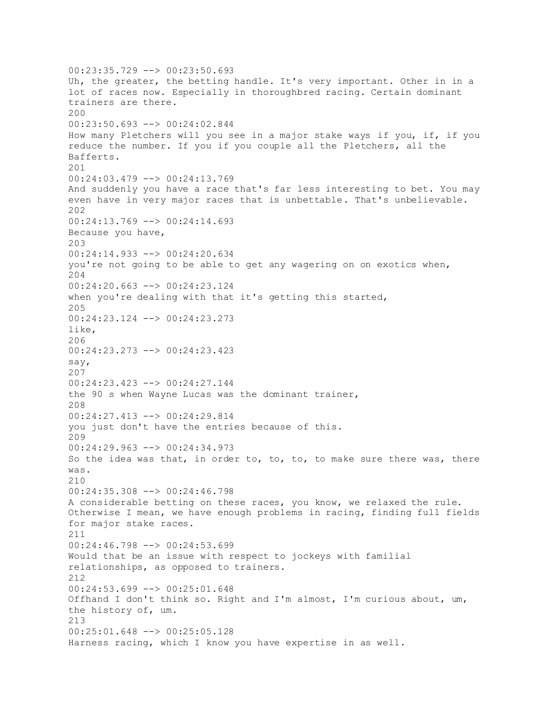00:23:35.729 --> 00:23:50.693 Uh, the greater, the betting handle. It's very important. Other in in a lot of races now. Especially in thoroughbred racing. Certain dominant trainers are there. 200 00:23:50.693 --> 00:24:02.844 How many Pletchers will you see in a major stake ways if you, if, if you reduce the number. If you if you couple all the Pletchers, all the Bafferts. 201 00:24:03.479 --> 00:24:13.769 And suddenly you have a race that's far less interesting to bet. You may even have in very major races that is unbettable. That's unbelievable. 202 00:24:13.769 --> 00:24:14.693 Because you have, 203 00:24:14.933 --> 00:24:20.634 you're not going to be able to get any wagering on on exotics when, 204 00:24:20.663 --> 00:24:23.124 when you're dealing with that it's getting this started, 205 00:24:23.124 --> 00:24:23.273 like, 206 00:24:23.273 --> 00:24:23.423 say, 207 00:24:23.423 --> 00:24:27.144 the 90 s when Wayne Lucas was the dominant trainer, 208 00:24:27.413 --> 00:24:29.814 you just don't have the entries because of this. 209 00:24:29.963 --> 00:24:34.973 So the idea was that, in order to, to, to, to make sure there was, there was. 210 00:24:35.308 --> 00:24:46.798 A considerable betting on these races, you know, we relaxed the rule. Otherwise I mean, we have enough problems in racing, finding full fields for major stake races. 211 00:24:46.798 --> 00:24:53.699 Would that be an issue with respect to jockeys with familial relationships, as opposed to trainers. 212 00:24:53.699 --> 00:25:01.648 Offhand I don't think so. Right and I'm almost, I'm curious about, um, the history of, um. 213 00:25:01.648 --> 00:25:05.128 Harness racing, which I know you have expertise in as well.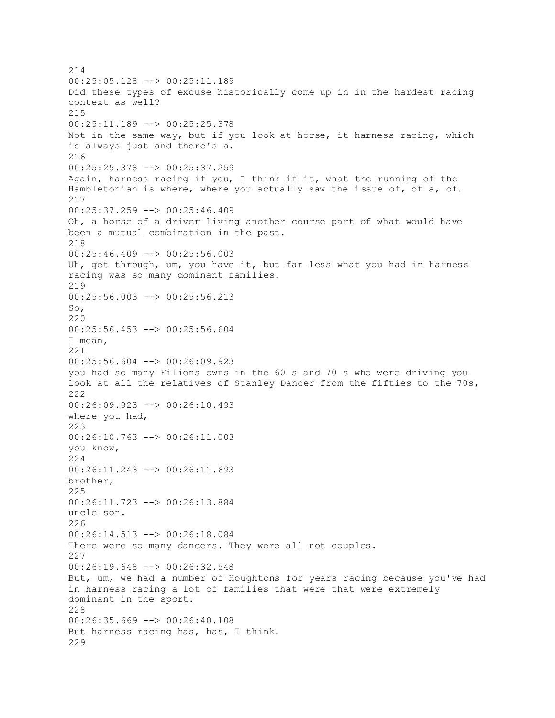214 00:25:05.128 --> 00:25:11.189 Did these types of excuse historically come up in in the hardest racing context as well? 215 00:25:11.189 --> 00:25:25.378 Not in the same way, but if you look at horse, it harness racing, which is always just and there's a. 216 00:25:25.378 --> 00:25:37.259 Again, harness racing if you, I think if it, what the running of the Hambletonian is where, where you actually saw the issue of, of a, of. 217 00:25:37.259 --> 00:25:46.409 Oh, a horse of a driver living another course part of what would have been a mutual combination in the past. 218  $00:25:46.409$  -->  $00:25:56.003$ Uh, get through, um, you have it, but far less what you had in harness racing was so many dominant families. 219 00:25:56.003 --> 00:25:56.213 So, 220 00:25:56.453 --> 00:25:56.604 I mean, 221 00:25:56.604 --> 00:26:09.923 you had so many Filions owns in the 60 s and 70 s who were driving you look at all the relatives of Stanley Dancer from the fifties to the 70s, 222 00:26:09.923 --> 00:26:10.493 where you had, 223 00:26:10.763 --> 00:26:11.003 you know, 224 00:26:11.243 --> 00:26:11.693 brother, 225 00:26:11.723 --> 00:26:13.884 uncle son. 226 00:26:14.513 --> 00:26:18.084 There were so many dancers. They were all not couples. 227 00:26:19.648 --> 00:26:32.548 But, um, we had a number of Houghtons for years racing because you've had in harness racing a lot of families that were that were extremely dominant in the sport. 228 00:26:35.669 --> 00:26:40.108 But harness racing has, has, I think. 229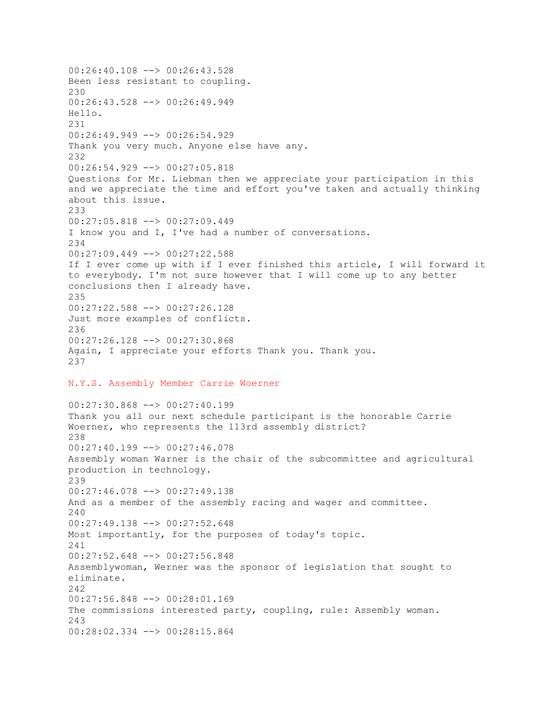00:26:40.108 --> 00:26:43.528 Been less resistant to coupling. 230 00:26:43.528 --> 00:26:49.949 Hello. 231 00:26:49.949 --> 00:26:54.929 Thank you very much. Anyone else have any. 232 00:26:54.929 --> 00:27:05.818 Questions for Mr. Liebman then we appreciate your participation in this and we appreciate the time and effort you've taken and actually thinking about this issue. 233 00:27:05.818 --> 00:27:09.449 I know you and I, I've had a number of conversations. 234 00:27:09.449 --> 00:27:22.588 If I ever come up with if I ever finished this article, I will forward it to everybody. I'm not sure however that I will come up to any better conclusions then I already have. 235 00:27:22.588 --> 00:27:26.128 Just more examples of conflicts. 236 00:27:26.128 --> 00:27:30.868 Again, I appreciate your efforts Thank you. Thank you. 237 N.Y.S. Assembly Member Carrie Woerner 00:27:30.868 --> 00:27:40.199 Thank you all our next schedule participant is the honorable Carrie Woerner, who represents the 113rd assembly district? 238 00:27:40.199 --> 00:27:46.078 Assembly woman Warner is the chair of the subcommittee and agricultural production in technology. 239 00:27:46.078 --> 00:27:49.138 And as a member of the assembly racing and wager and committee. 240 00:27:49.138 --> 00:27:52.648 Most importantly, for the purposes of today's topic. 241 00:27:52.648 --> 00:27:56.848 Assemblywoman, Werner was the sponsor of legislation that sought to eliminate. 242 00:27:56.848 --> 00:28:01.169 The commissions interested party, coupling, rule: Assembly woman. 243 00:28:02.334 --> 00:28:15.864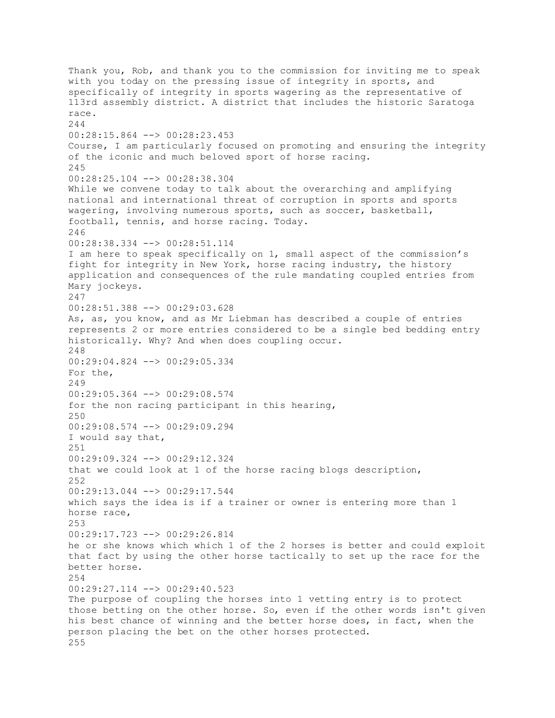Thank you, Rob, and thank you to the commission for inviting me to speak with you today on the pressing issue of integrity in sports, and specifically of integrity in sports wagering as the representative of 113rd assembly district. A district that includes the historic Saratoga race. 244 00:28:15.864 --> 00:28:23.453 Course, I am particularly focused on promoting and ensuring the integrity of the iconic and much beloved sport of horse racing. 245 00:28:25.104 --> 00:28:38.304 While we convene today to talk about the overarching and amplifying national and international threat of corruption in sports and sports wagering, involving numerous sports, such as soccer, basketball, football, tennis, and horse racing. Today. 246 00:28:38.334 --> 00:28:51.114 I am here to speak specifically on 1, small aspect of the commission's fight for integrity in New York, horse racing industry, the history application and consequences of the rule mandating coupled entries from Mary jockeys. 247 00:28:51.388 --> 00:29:03.628 As, as, you know, and as Mr Liebman has described a couple of entries represents 2 or more entries considered to be a single bed bedding entry historically. Why? And when does coupling occur. 248 00:29:04.824 --> 00:29:05.334 For the, 249 00:29:05.364 --> 00:29:08.574 for the non racing participant in this hearing, 250 00:29:08.574 --> 00:29:09.294 I would say that, 251 00:29:09.324 --> 00:29:12.324 that we could look at 1 of the horse racing blogs description, 252 00:29:13.044 --> 00:29:17.544 which says the idea is if a trainer or owner is entering more than 1 horse race, 253 00:29:17.723 --> 00:29:26.814 he or she knows which which 1 of the 2 horses is better and could exploit that fact by using the other horse tactically to set up the race for the better horse. 254 00:29:27.114 --> 00:29:40.523 The purpose of coupling the horses into 1 vetting entry is to protect those betting on the other horse. So, even if the other words isn't given his best chance of winning and the better horse does, in fact, when the person placing the bet on the other horses protected. 255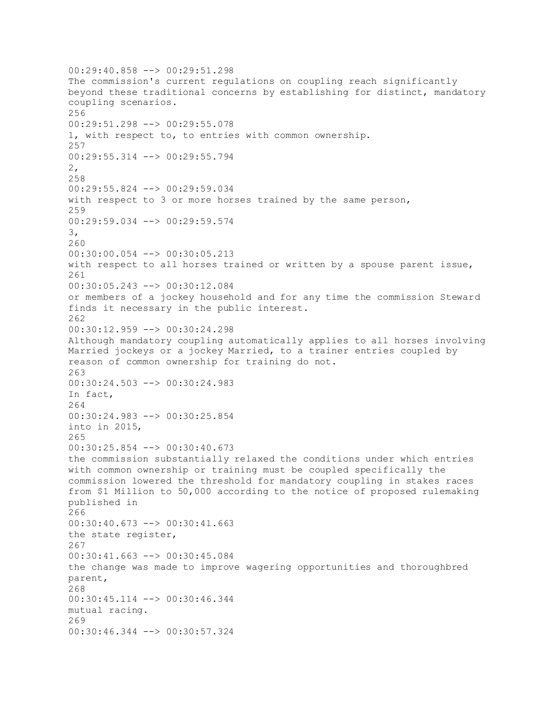00:29:40.858 --> 00:29:51.298 The commission's current regulations on coupling reach significantly beyond these traditional concerns by establishing for distinct, mandatory coupling scenarios. 256 00:29:51.298 --> 00:29:55.078 1, with respect to, to entries with common ownership. 257 00:29:55.314 --> 00:29:55.794 2, 258 00:29:55.824 --> 00:29:59.034 with respect to 3 or more horses trained by the same person, 259 00:29:59.034 --> 00:29:59.574 3, 260 00:30:00.054 --> 00:30:05.213 with respect to all horses trained or written by a spouse parent issue, 261 00:30:05.243 --> 00:30:12.084 or members of a jockey household and for any time the commission Steward finds it necessary in the public interest. 262 00:30:12.959 --> 00:30:24.298 Although mandatory coupling automatically applies to all horses involving Married jockeys or a jockey Married, to a trainer entries coupled by reason of common ownership for training do not. 263 00:30:24.503 --> 00:30:24.983 In fact, 264 00:30:24.983 --> 00:30:25.854 into in 2015, 265 00:30:25.854 --> 00:30:40.673 the commission substantially relaxed the conditions under which entries with common ownership or training must be coupled specifically the commission lowered the threshold for mandatory coupling in stakes races from \$1 Million to 50,000 according to the notice of proposed rulemaking published in 266 00:30:40.673 --> 00:30:41.663 the state register, 267 00:30:41.663 --> 00:30:45.084 the change was made to improve wagering opportunities and thoroughbred parent, 268 00:30:45.114 --> 00:30:46.344 mutual racing. 269 00:30:46.344 --> 00:30:57.324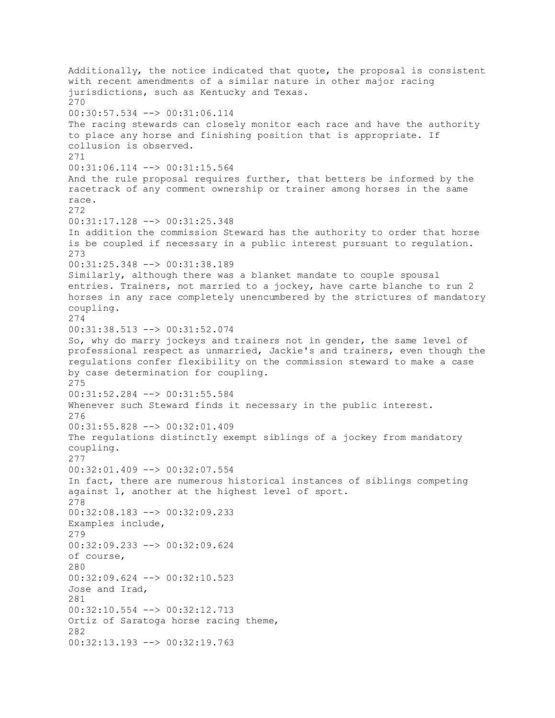Additionally, the notice indicated that quote, the proposal is consistent with recent amendments of a similar nature in other major racing jurisdictions, such as Kentucky and Texas. 270 00:30:57.534 --> 00:31:06.114 The racing stewards can closely monitor each race and have the authority to place any horse and finishing position that is appropriate. If collusion is observed. 271 00:31:06.114 --> 00:31:15.564 And the rule proposal requires further, that betters be informed by the racetrack of any comment ownership or trainer among horses in the same race. 272 00:31:17.128 --> 00:31:25.348 In addition the commission Steward has the authority to order that horse is be coupled if necessary in a public interest pursuant to regulation. 273 00:31:25.348 --> 00:31:38.189 Similarly, although there was a blanket mandate to couple spousal entries. Trainers, not married to a jockey, have carte blanche to run 2 horses in any race completely unencumbered by the strictures of mandatory coupling. 274 00:31:38.513 --> 00:31:52.074 So, why do marry jockeys and trainers not in gender, the same level of professional respect as unmarried, Jackie's and trainers, even though the regulations confer flexibility on the commission steward to make a case by case determination for coupling. 275 00:31:52.284 --> 00:31:55.584 Whenever such Steward finds it necessary in the public interest. 276 00:31:55.828 --> 00:32:01.409 The regulations distinctly exempt siblings of a jockey from mandatory coupling. 277 00:32:01.409 --> 00:32:07.554 In fact, there are numerous historical instances of siblings competing against 1, another at the highest level of sport. 278 00:32:08.183 --> 00:32:09.233 Examples include, 279 00:32:09.233 --> 00:32:09.624 of course, 280 00:32:09.624 --> 00:32:10.523 Jose and Irad, 281 00:32:10.554 --> 00:32:12.713 Ortiz of Saratoga horse racing theme, 282 00:32:13.193 --> 00:32:19.763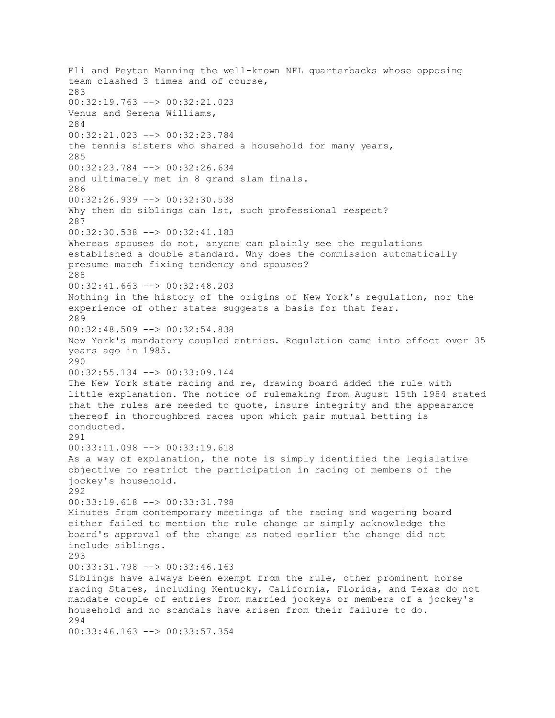Eli and Peyton Manning the well-known NFL quarterbacks whose opposing team clashed 3 times and of course, 283 00:32:19.763 --> 00:32:21.023 Venus and Serena Williams, 284 00:32:21.023 --> 00:32:23.784 the tennis sisters who shared a household for many years, 285 00:32:23.784 --> 00:32:26.634 and ultimately met in 8 grand slam finals. 286 00:32:26.939 --> 00:32:30.538 Why then do siblings can 1st, such professional respect? 287 00:32:30.538 --> 00:32:41.183 Whereas spouses do not, anyone can plainly see the regulations established a double standard. Why does the commission automatically presume match fixing tendency and spouses? 288 00:32:41.663 --> 00:32:48.203 Nothing in the history of the origins of New York's regulation, nor the experience of other states suggests a basis for that fear. 289 00:32:48.509 --> 00:32:54.838 New York's mandatory coupled entries. Regulation came into effect over 35 years ago in 1985. 290 00:32:55.134 --> 00:33:09.144 The New York state racing and re, drawing board added the rule with little explanation. The notice of rulemaking from August 15th 1984 stated that the rules are needed to quote, insure integrity and the appearance thereof in thoroughbred races upon which pair mutual betting is conducted. 291 00:33:11.098 --> 00:33:19.618 As a way of explanation, the note is simply identified the legislative objective to restrict the participation in racing of members of the jockey's household. 292 00:33:19.618 --> 00:33:31.798 Minutes from contemporary meetings of the racing and wagering board either failed to mention the rule change or simply acknowledge the board's approval of the change as noted earlier the change did not include siblings. 293 00:33:31.798 --> 00:33:46.163 Siblings have always been exempt from the rule, other prominent horse racing States, including Kentucky, California, Florida, and Texas do not mandate couple of entries from married jockeys or members of a jockey's household and no scandals have arisen from their failure to do. 294 00:33:46.163 --> 00:33:57.354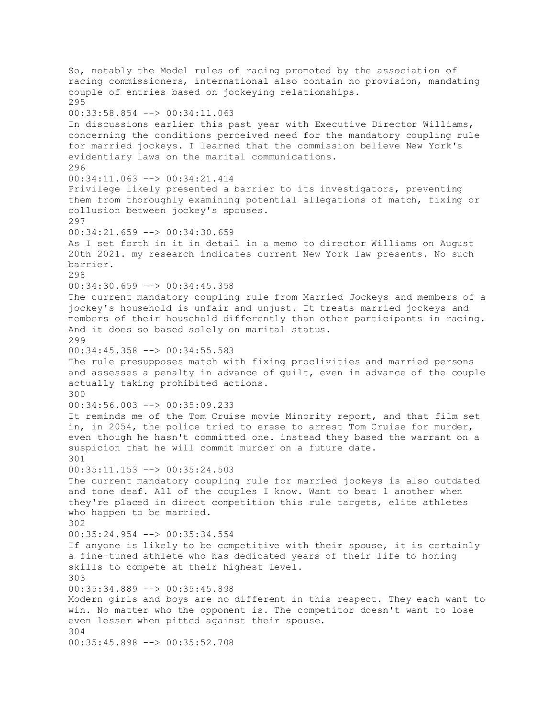So, notably the Model rules of racing promoted by the association of racing commissioners, international also contain no provision, mandating couple of entries based on jockeying relationships. 295 00:33:58.854 --> 00:34:11.063 In discussions earlier this past year with Executive Director Williams, concerning the conditions perceived need for the mandatory coupling rule for married jockeys. I learned that the commission believe New York's evidentiary laws on the marital communications. 296 00:34:11.063 --> 00:34:21.414 Privilege likely presented a barrier to its investigators, preventing them from thoroughly examining potential allegations of match, fixing or collusion between jockey's spouses. 297 00:34:21.659 --> 00:34:30.659 As I set forth in it in detail in a memo to director Williams on August 20th 2021. my research indicates current New York law presents. No such barrier. 298 00:34:30.659 --> 00:34:45.358 The current mandatory coupling rule from Married Jockeys and members of a jockey's household is unfair and unjust. It treats married jockeys and members of their household differently than other participants in racing. And it does so based solely on marital status. 299 00:34:45.358 --> 00:34:55.583 The rule presupposes match with fixing proclivities and married persons and assesses a penalty in advance of guilt, even in advance of the couple actually taking prohibited actions. 300 00:34:56.003 --> 00:35:09.233 It reminds me of the Tom Cruise movie Minority report, and that film set in, in 2054, the police tried to erase to arrest Tom Cruise for murder, even though he hasn't committed one. instead they based the warrant on a suspicion that he will commit murder on a future date. 301 00:35:11.153 --> 00:35:24.503 The current mandatory coupling rule for married jockeys is also outdated and tone deaf. All of the couples I know. Want to beat 1 another when they're placed in direct competition this rule targets, elite athletes who happen to be married. 302 00:35:24.954 --> 00:35:34.554 If anyone is likely to be competitive with their spouse, it is certainly a fine-tuned athlete who has dedicated years of their life to honing skills to compete at their highest level. 303 00:35:34.889 --> 00:35:45.898 Modern girls and boys are no different in this respect. They each want to win. No matter who the opponent is. The competitor doesn't want to lose even lesser when pitted against their spouse. 304 00:35:45.898 --> 00:35:52.708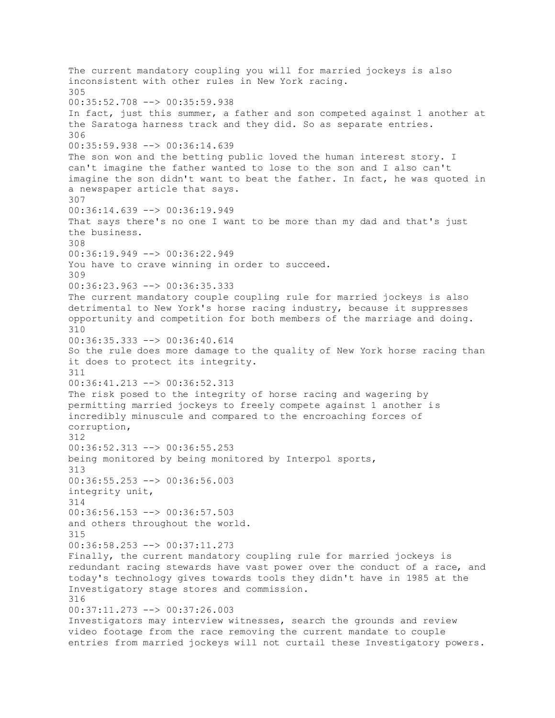The current mandatory coupling you will for married jockeys is also inconsistent with other rules in New York racing. 305 00:35:52.708 --> 00:35:59.938 In fact, just this summer, a father and son competed against 1 another at the Saratoga harness track and they did. So as separate entries. 306 00:35:59.938 --> 00:36:14.639 The son won and the betting public loved the human interest story. I can't imagine the father wanted to lose to the son and I also can't imagine the son didn't want to beat the father. In fact, he was quoted in a newspaper article that says. 307 00:36:14.639 --> 00:36:19.949 That says there's no one I want to be more than my dad and that's just the business. 308 00:36:19.949 --> 00:36:22.949 You have to crave winning in order to succeed. 309 00:36:23.963 --> 00:36:35.333 The current mandatory couple coupling rule for married jockeys is also detrimental to New York's horse racing industry, because it suppresses opportunity and competition for both members of the marriage and doing. 310 00:36:35.333 --> 00:36:40.614 So the rule does more damage to the quality of New York horse racing than it does to protect its integrity. 311 00:36:41.213 --> 00:36:52.313 The risk posed to the integrity of horse racing and wagering by permitting married jockeys to freely compete against 1 another is incredibly minuscule and compared to the encroaching forces of corruption, 312 00:36:52.313 --> 00:36:55.253 being monitored by being monitored by Interpol sports, 313 00:36:55.253 --> 00:36:56.003 integrity unit, 314 00:36:56.153 --> 00:36:57.503 and others throughout the world. 315 00:36:58.253 --> 00:37:11.273 Finally, the current mandatory coupling rule for married jockeys is redundant racing stewards have vast power over the conduct of a race, and today's technology gives towards tools they didn't have in 1985 at the Investigatory stage stores and commission. 316 00:37:11.273 --> 00:37:26.003 Investigators may interview witnesses, search the grounds and review video footage from the race removing the current mandate to couple entries from married jockeys will not curtail these Investigatory powers.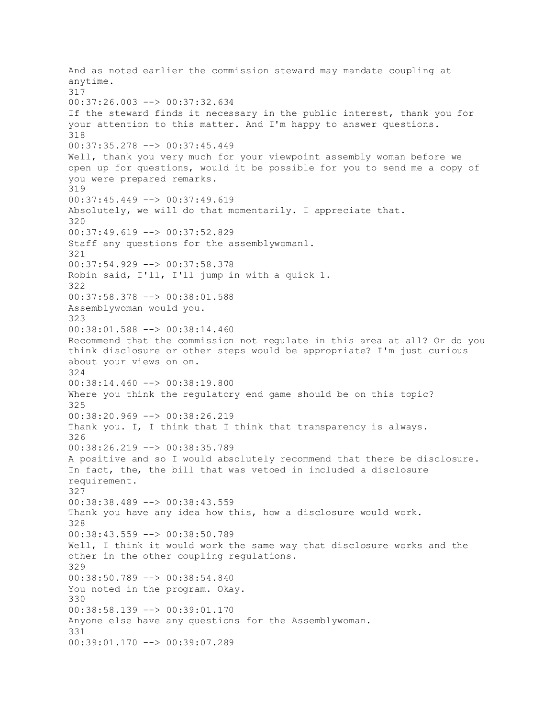And as noted earlier the commission steward may mandate coupling at anytime. 317 00:37:26.003 --> 00:37:32.634 If the steward finds it necessary in the public interest, thank you for your attention to this matter. And I'm happy to answer questions. 318 00:37:35.278 --> 00:37:45.449 Well, thank you very much for your viewpoint assembly woman before we open up for questions, would it be possible for you to send me a copy of you were prepared remarks. 319 00:37:45.449 --> 00:37:49.619 Absolutely, we will do that momentarily. I appreciate that. 320 00:37:49.619 --> 00:37:52.829 Staff any questions for the assemblywoman1. 321 00:37:54.929 --> 00:37:58.378 Robin said, I'll, I'll jump in with a quick 1. 322 00:37:58.378 --> 00:38:01.588 Assemblywoman would you. 323 00:38:01.588 --> 00:38:14.460 Recommend that the commission not regulate in this area at all? Or do you think disclosure or other steps would be appropriate? I'm just curious about your views on on. 324 00:38:14.460 --> 00:38:19.800 Where you think the regulatory end game should be on this topic? 325 00:38:20.969 --> 00:38:26.219 Thank you. I, I think that I think that transparency is always. 326 00:38:26.219 --> 00:38:35.789 A positive and so I would absolutely recommend that there be disclosure. In fact, the, the bill that was vetoed in included a disclosure requirement. 327 00:38:38.489 --> 00:38:43.559 Thank you have any idea how this, how a disclosure would work. 328 00:38:43.559 --> 00:38:50.789 Well, I think it would work the same way that disclosure works and the other in the other coupling regulations. 329 00:38:50.789 --> 00:38:54.840 You noted in the program. Okay. 330 00:38:58.139 --> 00:39:01.170 Anyone else have any questions for the Assemblywoman. 331 00:39:01.170 --> 00:39:07.289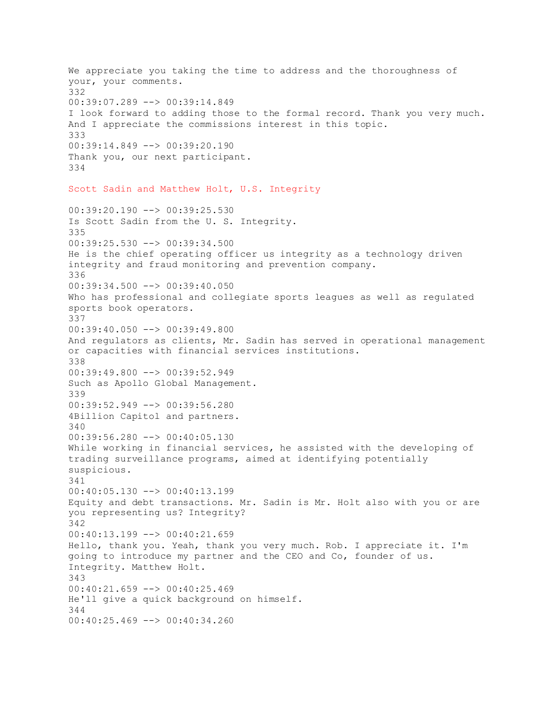We appreciate you taking the time to address and the thoroughness of your, your comments. 332 00:39:07.289 --> 00:39:14.849 I look forward to adding those to the formal record. Thank you very much. And I appreciate the commissions interest in this topic. 333 00:39:14.849 --> 00:39:20.190 Thank you, our next participant. 334 Scott Sadin and Matthew Holt, U.S. Integrity 00:39:20.190 --> 00:39:25.530 Is Scott Sadin from the U. S. Integrity. 335 00:39:25.530 --> 00:39:34.500 He is the chief operating officer us integrity as a technology driven integrity and fraud monitoring and prevention company. 336 00:39:34.500 --> 00:39:40.050 Who has professional and collegiate sports leagues as well as regulated sports book operators. 337 00:39:40.050 --> 00:39:49.800 And regulators as clients, Mr. Sadin has served in operational management or capacities with financial services institutions. 338 00:39:49.800 --> 00:39:52.949 Such as Apollo Global Management. 339 00:39:52.949 --> 00:39:56.280 4Billion Capitol and partners. 340 00:39:56.280 --> 00:40:05.130 While working in financial services, he assisted with the developing of trading surveillance programs, aimed at identifying potentially suspicious. 341 00:40:05.130 --> 00:40:13.199 Equity and debt transactions. Mr. Sadin is Mr. Holt also with you or are you representing us? Integrity? 342 00:40:13.199 --> 00:40:21.659 Hello, thank you. Yeah, thank you very much. Rob. I appreciate it. I'm going to introduce my partner and the CEO and Co, founder of us. Integrity. Matthew Holt. 343 00:40:21.659 --> 00:40:25.469 He'll give a quick background on himself. 344 00:40:25.469 --> 00:40:34.260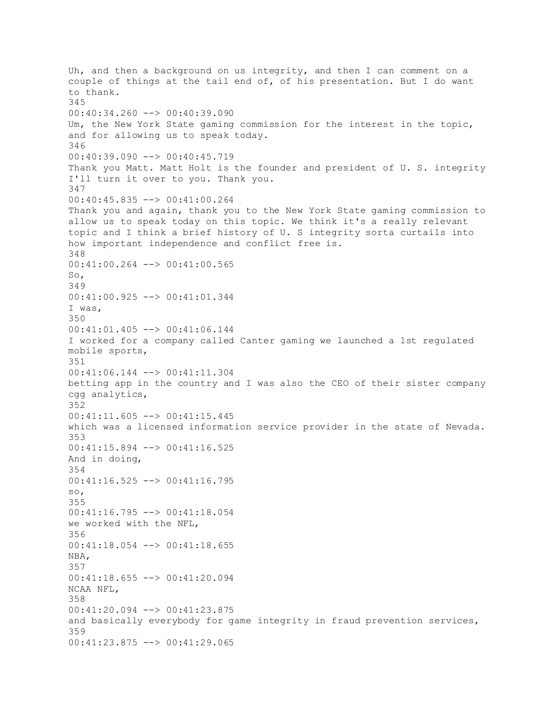Uh, and then a background on us integrity, and then I can comment on a couple of things at the tail end of, of his presentation. But I do want to thank. 345 00:40:34.260 --> 00:40:39.090 Um, the New York State gaming commission for the interest in the topic, and for allowing us to speak today. 346 00:40:39.090 --> 00:40:45.719 Thank you Matt. Matt Holt is the founder and president of U. S. integrity I'll turn it over to you. Thank you. 347 00:40:45.835 --> 00:41:00.264 Thank you and again, thank you to the New York State gaming commission to allow us to speak today on this topic. We think it's a really relevant topic and I think a brief history of U. S integrity sorta curtails into how important independence and conflict free is. 348 00:41:00.264 --> 00:41:00.565 So, 349 00:41:00.925 --> 00:41:01.344 I was, 350 00:41:01.405 --> 00:41:06.144 I worked for a company called Canter gaming we launched a 1st regulated mobile sports, 351 00:41:06.144 --> 00:41:11.304 betting app in the country and I was also the CEO of their sister company cgg analytics, 352 00:41:11.605 --> 00:41:15.445 which was a licensed information service provider in the state of Nevada. 353 00:41:15.894 --> 00:41:16.525 And in doing, 354 00:41:16.525 --> 00:41:16.795 so, 355 00:41:16.795 --> 00:41:18.054 we worked with the NFL, 356 00:41:18.054 --> 00:41:18.655 NBA, 357 00:41:18.655 --> 00:41:20.094 NCAA NFL, 358 00:41:20.094 --> 00:41:23.875 and basically everybody for game integrity in fraud prevention services, 359 00:41:23.875 --> 00:41:29.065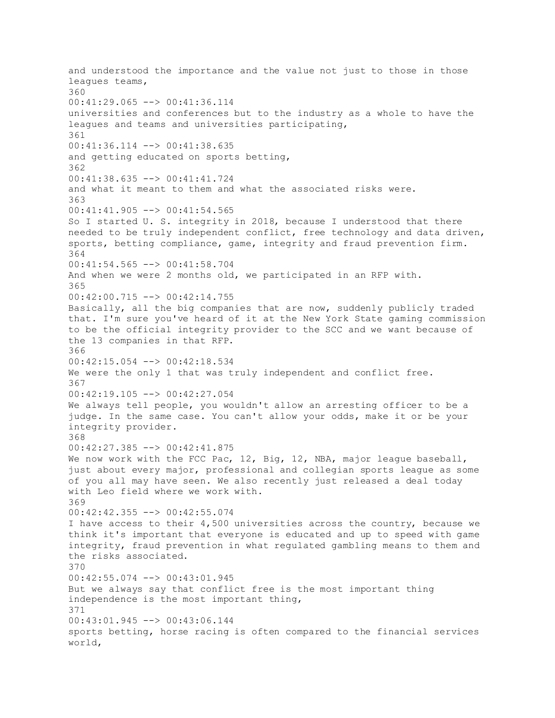and understood the importance and the value not just to those in those leagues teams, 360 00:41:29.065 --> 00:41:36.114 universities and conferences but to the industry as a whole to have the leagues and teams and universities participating, 361 00:41:36.114 --> 00:41:38.635 and getting educated on sports betting, 362 00:41:38.635 --> 00:41:41.724 and what it meant to them and what the associated risks were. 363 00:41:41.905 --> 00:41:54.565 So I started U. S. integrity in 2018, because I understood that there needed to be truly independent conflict, free technology and data driven, sports, betting compliance, game, integrity and fraud prevention firm. 364 00:41:54.565 --> 00:41:58.704 And when we were 2 months old, we participated in an RFP with. 365 00:42:00.715 --> 00:42:14.755 Basically, all the big companies that are now, suddenly publicly traded that. I'm sure you've heard of it at the New York State gaming commission to be the official integrity provider to the SCC and we want because of the 13 companies in that RFP. 366 00:42:15.054 --> 00:42:18.534 We were the only 1 that was truly independent and conflict free. 367 00:42:19.105 --> 00:42:27.054 We always tell people, you wouldn't allow an arresting officer to be a judge. In the same case. You can't allow your odds, make it or be your integrity provider. 368 00:42:27.385 --> 00:42:41.875 We now work with the FCC Pac, 12, Big, 12, NBA, major league baseball, just about every major, professional and collegian sports league as some of you all may have seen. We also recently just released a deal today with Leo field where we work with. 369 00:42:42.355 --> 00:42:55.074 I have access to their 4,500 universities across the country, because we think it's important that everyone is educated and up to speed with game integrity, fraud prevention in what regulated gambling means to them and the risks associated. 370 00:42:55.074 --> 00:43:01.945 But we always say that conflict free is the most important thing independence is the most important thing, 371 00:43:01.945 --> 00:43:06.144 sports betting, horse racing is often compared to the financial services world,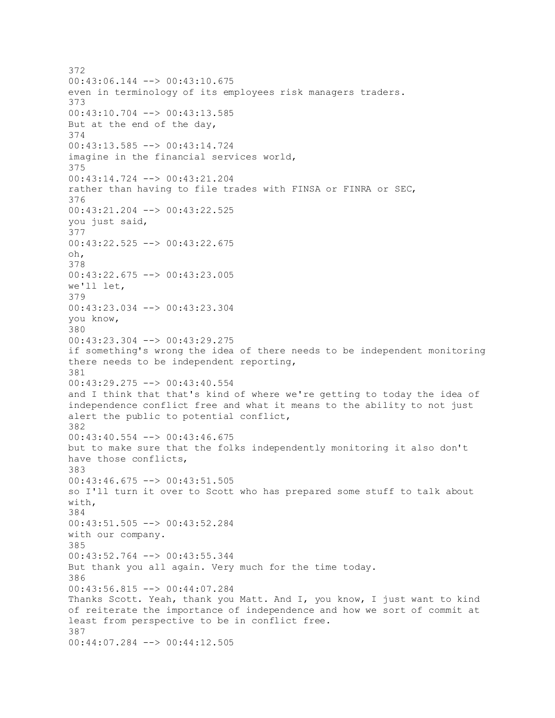372 00:43:06.144 --> 00:43:10.675 even in terminology of its employees risk managers traders. 373 00:43:10.704 --> 00:43:13.585 But at the end of the day, 374 00:43:13.585 --> 00:43:14.724 imagine in the financial services world, 375 00:43:14.724 --> 00:43:21.204 rather than having to file trades with FINSA or FINRA or SEC, 376 00:43:21.204 --> 00:43:22.525 you just said, 377 00:43:22.525 --> 00:43:22.675 oh, 378 00:43:22.675 --> 00:43:23.005 we'll let, 379 00:43:23.034 --> 00:43:23.304 you know, 380 00:43:23.304 --> 00:43:29.275 if something's wrong the idea of there needs to be independent monitoring there needs to be independent reporting, 381 00:43:29.275 --> 00:43:40.554 and I think that that's kind of where we're getting to today the idea of independence conflict free and what it means to the ability to not just alert the public to potential conflict, 382 00:43:40.554 --> 00:43:46.675 but to make sure that the folks independently monitoring it also don't have those conflicts, 383 00:43:46.675 --> 00:43:51.505 so I'll turn it over to Scott who has prepared some stuff to talk about with, 384 00:43:51.505 --> 00:43:52.284 with our company. 385 00:43:52.764 --> 00:43:55.344 But thank you all again. Very much for the time today. 386 00:43:56.815 --> 00:44:07.284 Thanks Scott. Yeah, thank you Matt. And I, you know, I just want to kind of reiterate the importance of independence and how we sort of commit at least from perspective to be in conflict free. 387 00:44:07.284 --> 00:44:12.505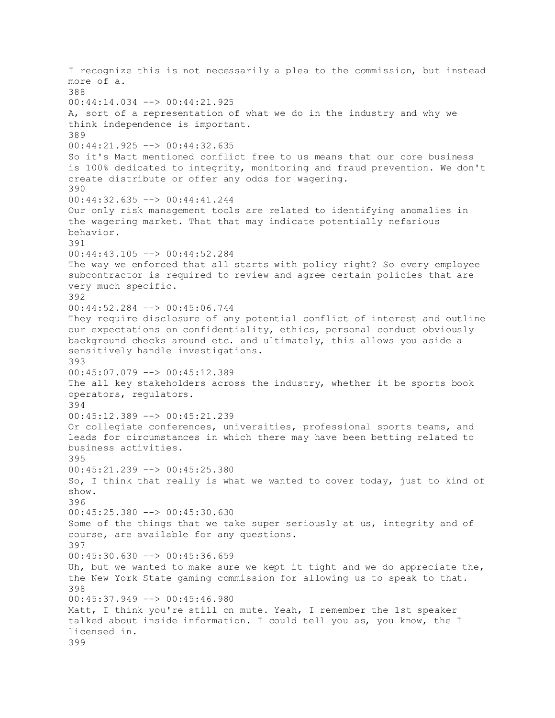I recognize this is not necessarily a plea to the commission, but instead more of a. 388 00:44:14.034 --> 00:44:21.925 A, sort of a representation of what we do in the industry and why we think independence is important. 389 00:44:21.925 --> 00:44:32.635 So it's Matt mentioned conflict free to us means that our core business is 100% dedicated to integrity, monitoring and fraud prevention. We don't create distribute or offer any odds for wagering. 390 00:44:32.635 --> 00:44:41.244 Our only risk management tools are related to identifying anomalies in the wagering market. That that may indicate potentially nefarious behavior. 391 00:44:43.105 --> 00:44:52.284 The way we enforced that all starts with policy right? So every employee subcontractor is required to review and agree certain policies that are very much specific. 392 00:44:52.284 --> 00:45:06.744 They require disclosure of any potential conflict of interest and outline our expectations on confidentiality, ethics, personal conduct obviously background checks around etc. and ultimately, this allows you aside a sensitively handle investigations. 393 00:45:07.079 --> 00:45:12.389 The all key stakeholders across the industry, whether it be sports book operators, regulators. 394 00:45:12.389 --> 00:45:21.239 Or collegiate conferences, universities, professional sports teams, and leads for circumstances in which there may have been betting related to business activities. 395 00:45:21.239 --> 00:45:25.380 So, I think that really is what we wanted to cover today, just to kind of show. 396 00:45:25.380 --> 00:45:30.630 Some of the things that we take super seriously at us, integrity and of course, are available for any questions. 397 00:45:30.630 --> 00:45:36.659 Uh, but we wanted to make sure we kept it tight and we do appreciate the, the New York State gaming commission for allowing us to speak to that. 398 00:45:37.949 --> 00:45:46.980 Matt, I think you're still on mute. Yeah, I remember the 1st speaker talked about inside information. I could tell you as, you know, the I licensed in. 399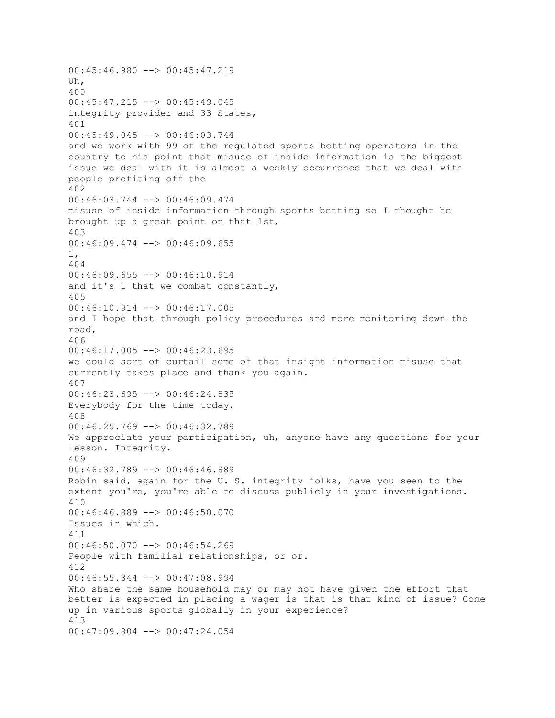00:45:46.980 --> 00:45:47.219 Uh, 400 00:45:47.215 --> 00:45:49.045 integrity provider and 33 States, 401 00:45:49.045 --> 00:46:03.744 and we work with 99 of the regulated sports betting operators in the country to his point that misuse of inside information is the biggest issue we deal with it is almost a weekly occurrence that we deal with people profiting off the 402 00:46:03.744 --> 00:46:09.474 misuse of inside information through sports betting so I thought he brought up a great point on that 1st, 403 00:46:09.474 --> 00:46:09.655 1, 404 00:46:09.655 --> 00:46:10.914 and it's 1 that we combat constantly, 405 00:46:10.914 --> 00:46:17.005 and I hope that through policy procedures and more monitoring down the road, 406  $00:46:17.005$  -->  $00:46:23.695$ we could sort of curtail some of that insight information misuse that currently takes place and thank you again. 407 00:46:23.695 --> 00:46:24.835 Everybody for the time today. 408 00:46:25.769 --> 00:46:32.789 We appreciate your participation, uh, anyone have any questions for your lesson. Integrity. 409 00:46:32.789 --> 00:46:46.889 Robin said, again for the U. S. integrity folks, have you seen to the extent you're, you're able to discuss publicly in your investigations. 410 00:46:46.889 --> 00:46:50.070 Issues in which. 411  $00:46:50.070$  -->  $00:46:54.269$ People with familial relationships, or or. 412 00:46:55.344 --> 00:47:08.994 Who share the same household may or may not have given the effort that better is expected in placing a wager is that is that kind of issue? Come up in various sports globally in your experience? 413 00:47:09.804 --> 00:47:24.054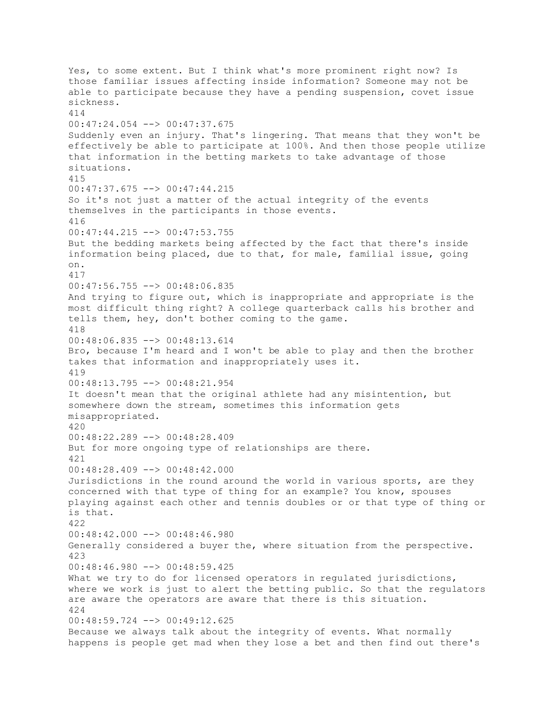Yes, to some extent. But I think what's more prominent right now? Is those familiar issues affecting inside information? Someone may not be able to participate because they have a pending suspension, covet issue sickness. 414 00:47:24.054 --> 00:47:37.675 Suddenly even an injury. That's lingering. That means that they won't be effectively be able to participate at 100%. And then those people utilize that information in the betting markets to take advantage of those situations. 415 00:47:37.675 --> 00:47:44.215 So it's not just a matter of the actual integrity of the events themselves in the participants in those events. 416  $00:47:44.215$   $\leftarrow$   $>$  00:47:53.755 But the bedding markets being affected by the fact that there's inside information being placed, due to that, for male, familial issue, going on. 417 00:47:56.755 --> 00:48:06.835 And trying to figure out, which is inappropriate and appropriate is the most difficult thing right? A college quarterback calls his brother and tells them, hey, don't bother coming to the game. 418 00:48:06.835 --> 00:48:13.614 Bro, because I'm heard and I won't be able to play and then the brother takes that information and inappropriately uses it. 419 00:48:13.795 --> 00:48:21.954 It doesn't mean that the original athlete had any misintention, but somewhere down the stream, sometimes this information gets misappropriated. 420 00:48:22.289 --> 00:48:28.409 But for more ongoing type of relationships are there. 421 00:48:28.409 --> 00:48:42.000 Jurisdictions in the round around the world in various sports, are they concerned with that type of thing for an example? You know, spouses playing against each other and tennis doubles or or that type of thing or is that. 422 00:48:42.000 --> 00:48:46.980 Generally considered a buyer the, where situation from the perspective. 423 00:48:46.980 --> 00:48:59.425 What we try to do for licensed operators in regulated jurisdictions, where we work is just to alert the betting public. So that the regulators are aware the operators are aware that there is this situation. 424  $00:48:59.724$  -->  $00:49:12.625$ Because we always talk about the integrity of events. What normally happens is people get mad when they lose a bet and then find out there's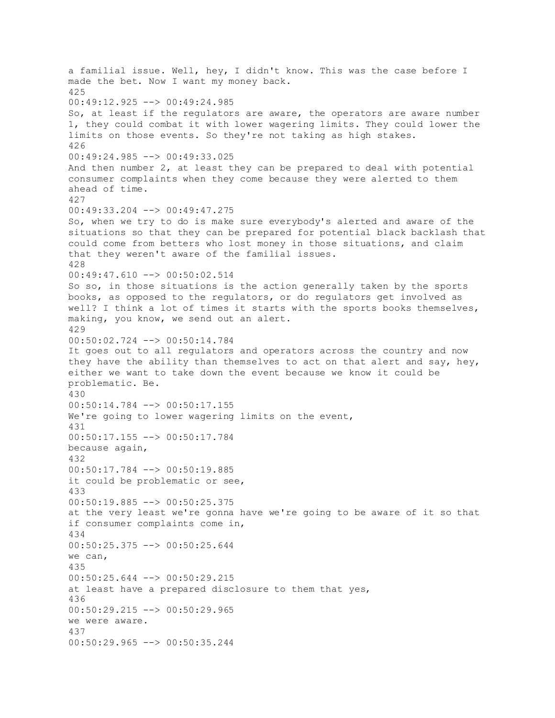a familial issue. Well, hey, I didn't know. This was the case before I made the bet. Now I want my money back. 425 00:49:12.925 --> 00:49:24.985 So, at least if the regulators are aware, the operators are aware number 1, they could combat it with lower wagering limits. They could lower the limits on those events. So they're not taking as high stakes. 426 00:49:24.985 --> 00:49:33.025 And then number 2, at least they can be prepared to deal with potential consumer complaints when they come because they were alerted to them ahead of time. 427 00:49:33.204 --> 00:49:47.275 So, when we try to do is make sure everybody's alerted and aware of the situations so that they can be prepared for potential black backlash that could come from betters who lost money in those situations, and claim that they weren't aware of the familial issues. 428 00:49:47.610 --> 00:50:02.514 So so, in those situations is the action generally taken by the sports books, as opposed to the regulators, or do regulators get involved as well? I think a lot of times it starts with the sports books themselves, making, you know, we send out an alert. 429 00:50:02.724 --> 00:50:14.784 It goes out to all regulators and operators across the country and now they have the ability than themselves to act on that alert and say, hey, either we want to take down the event because we know it could be problematic. Be. 430 00:50:14.784 --> 00:50:17.155 We're going to lower wagering limits on the event, 431 00:50:17.155 --> 00:50:17.784 because again, 432 00:50:17.784 --> 00:50:19.885 it could be problematic or see, 433 00:50:19.885 --> 00:50:25.375 at the very least we're gonna have we're going to be aware of it so that if consumer complaints come in, 434 00:50:25.375 --> 00:50:25.644 we can, 435 00:50:25.644 --> 00:50:29.215 at least have a prepared disclosure to them that yes, 436 00:50:29.215 --> 00:50:29.965 we were aware. 437 00:50:29.965 --> 00:50:35.244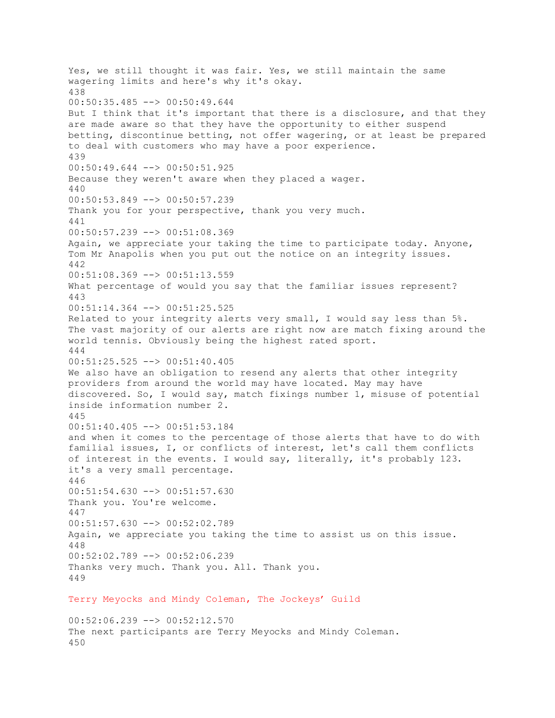Yes, we still thought it was fair. Yes, we still maintain the same wagering limits and here's why it's okay. 438  $00:50:35.485$   $\leftarrow$  > 00:50:49.644 But I think that it's important that there is a disclosure, and that they are made aware so that they have the opportunity to either suspend betting, discontinue betting, not offer wagering, or at least be prepared to deal with customers who may have a poor experience. 439 00:50:49.644 --> 00:50:51.925 Because they weren't aware when they placed a wager. 440 00:50:53.849 --> 00:50:57.239 Thank you for your perspective, thank you very much. 441 00:50:57.239 --> 00:51:08.369 Again, we appreciate your taking the time to participate today. Anyone, Tom Mr Anapolis when you put out the notice on an integrity issues. 442 00:51:08.369 --> 00:51:13.559 What percentage of would you say that the familiar issues represent? 443 00:51:14.364 --> 00:51:25.525 Related to your integrity alerts very small, I would say less than 5%. The vast majority of our alerts are right now are match fixing around the world tennis. Obviously being the highest rated sport. 444 00:51:25.525 --> 00:51:40.405 We also have an obligation to resend any alerts that other integrity providers from around the world may have located. May may have discovered. So, I would say, match fixings number 1, misuse of potential inside information number 2. 445  $00:51:40.405$   $\rightarrow$  00:51:53.184 and when it comes to the percentage of those alerts that have to do with familial issues, I, or conflicts of interest, let's call them conflicts of interest in the events. I would say, literally, it's probably 123. it's a very small percentage. 446 00:51:54.630 --> 00:51:57.630 Thank you. You're welcome. 447 00:51:57.630 --> 00:52:02.789 Again, we appreciate you taking the time to assist us on this issue. 448 00:52:02.789 --> 00:52:06.239 Thanks very much. Thank you. All. Thank you. 449 Terry Meyocks and Mindy Coleman, The Jockeys' Guild

 $00:52:06.239$   $\rightarrow$   $\rightarrow$   $00:52:12.570$ The next participants are Terry Meyocks and Mindy Coleman. 450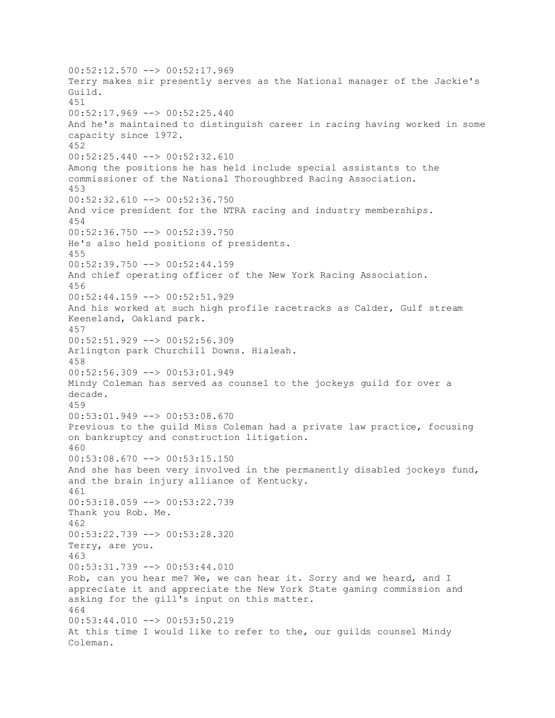$00:52:12.570$  -->  $00:52:17.969$ Terry makes sir presently serves as the National manager of the Jackie's Guild. 451 00:52:17.969 --> 00:52:25.440 And he's maintained to distinguish career in racing having worked in some capacity since 1972. 452 00:52:25.440 --> 00:52:32.610 Among the positions he has held include special assistants to the commissioner of the National Thoroughbred Racing Association. 453  $00:52:32.610$  -->  $00:52:36.750$ And vice president for the NTRA racing and industry memberships. 454 00:52:36.750 --> 00:52:39.750 He's also held positions of presidents. 455 00:52:39.750 --> 00:52:44.159 And chief operating officer of the New York Racing Association. 456 00:52:44.159 --> 00:52:51.929 And his worked at such high profile racetracks as Calder, Gulf stream Keeneland, Oakland park. 457 00:52:51.929 --> 00:52:56.309 Arlington park Churchill Downs. Hialeah. 458 00:52:56.309 --> 00:53:01.949 Mindy Coleman has served as counsel to the jockeys guild for over a decade. 459 00:53:01.949 --> 00:53:08.670 Previous to the guild Miss Coleman had a private law practice, focusing on bankruptcy and construction litigation. 460 00:53:08.670 --> 00:53:15.150 And she has been very involved in the permanently disabled jockeys fund, and the brain injury alliance of Kentucky. 461 00:53:18.059 --> 00:53:22.739 Thank you Rob. Me. 462 00:53:22.739 --> 00:53:28.320 Terry, are you. 463 00:53:31.739 --> 00:53:44.010 Rob, can you hear me? We, we can hear it. Sorry and we heard, and I appreciate it and appreciate the New York State gaming commission and asking for the gill's input on this matter. 464 00:53:44.010 --> 00:53:50.219 At this time I would like to refer to the, our guilds counsel Mindy Coleman.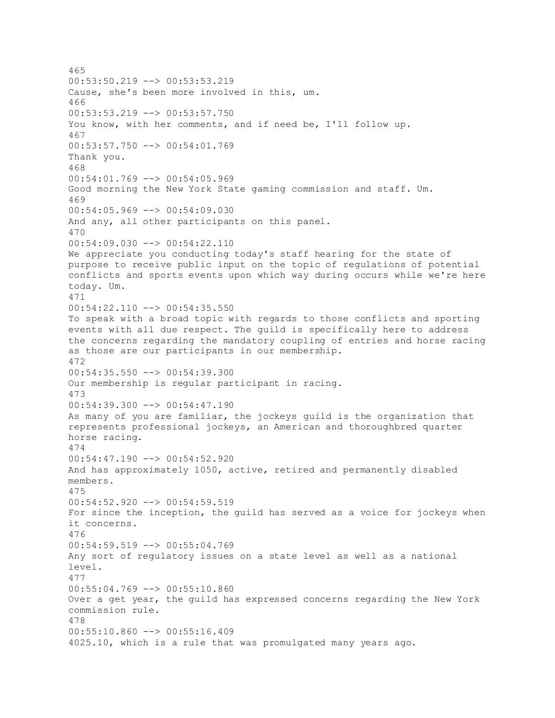465 00:53:50.219 --> 00:53:53.219 Cause, she's been more involved in this, um. 466 00:53:53.219 --> 00:53:57.750 You know, with her comments, and if need be, I'll follow up. 467 00:53:57.750 --> 00:54:01.769 Thank you. 468 00:54:01.769 --> 00:54:05.969 Good morning the New York State gaming commission and staff. Um. 469 00:54:05.969 --> 00:54:09.030 And any, all other participants on this panel. 470 00:54:09.030 --> 00:54:22.110 We appreciate you conducting today's staff hearing for the state of purpose to receive public input on the topic of regulations of potential conflicts and sports events upon which way during occurs while we're here today. Um. 471 00:54:22.110 --> 00:54:35.550 To speak with a broad topic with regards to those conflicts and sporting events with all due respect. The guild is specifically here to address the concerns regarding the mandatory coupling of entries and horse racing as those are our participants in our membership. 472 00:54:35.550 --> 00:54:39.300 Our membership is regular participant in racing. 473  $00:54:39.300$  -->  $00:54:47.190$ As many of you are familiar, the jockeys guild is the organization that represents professional jockeys, an American and thoroughbred quarter horse racing. 474 00:54:47.190 --> 00:54:52.920 And has approximately 1050, active, retired and permanently disabled members. 475 00:54:52.920 --> 00:54:59.519 For since the inception, the guild has served as a voice for jockeys when it concerns. 476 00:54:59.519 --> 00:55:04.769 Any sort of regulatory issues on a state level as well as a national level. 477 00:55:04.769 --> 00:55:10.860 Over a get year, the guild has expressed concerns regarding the New York commission rule. 478 00:55:10.860 --> 00:55:16.409 4025.10, which is a rule that was promulgated many years ago.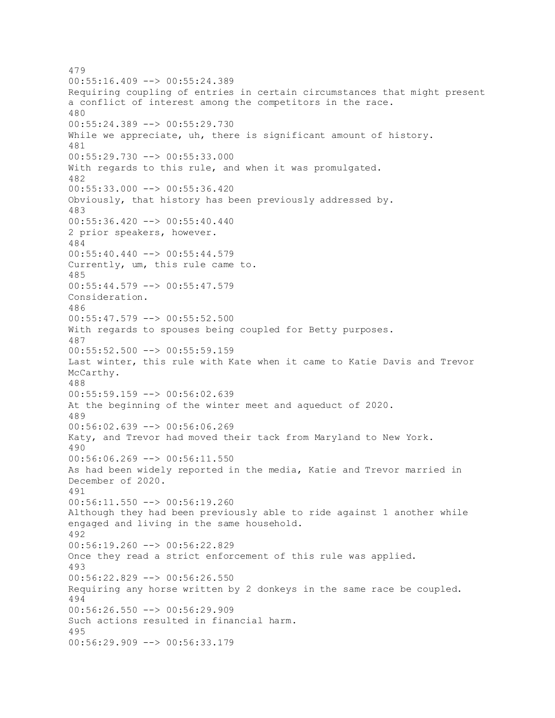479  $00:55:16.409$  -->  $00:55:24.389$ Requiring coupling of entries in certain circumstances that might present a conflict of interest among the competitors in the race. 480 00:55:24.389 --> 00:55:29.730 While we appreciate, uh, there is significant amount of history. 481 00:55:29.730 --> 00:55:33.000 With regards to this rule, and when it was promulgated. 482 00:55:33.000 --> 00:55:36.420 Obviously, that history has been previously addressed by. 483 00:55:36.420 --> 00:55:40.440 2 prior speakers, however. 484  $00:55:40.440$  -->  $00:55:44.579$ Currently, um, this rule came to. 485 00:55:44.579 --> 00:55:47.579 Consideration. 486 00:55:47.579 --> 00:55:52.500 With regards to spouses being coupled for Betty purposes. 487 00:55:52.500 --> 00:55:59.159 Last winter, this rule with Kate when it came to Katie Davis and Trevor McCarthy. 488 00:55:59.159 --> 00:56:02.639 At the beginning of the winter meet and aqueduct of 2020. 489 00:56:02.639 --> 00:56:06.269 Katy, and Trevor had moved their tack from Maryland to New York. 490 00:56:06.269 --> 00:56:11.550 As had been widely reported in the media, Katie and Trevor married in December of 2020. 491 00:56:11.550 --> 00:56:19.260 Although they had been previously able to ride against 1 another while engaged and living in the same household. 492 00:56:19.260 --> 00:56:22.829 Once they read a strict enforcement of this rule was applied. 493 00:56:22.829 --> 00:56:26.550 Requiring any horse written by 2 donkeys in the same race be coupled. 494 00:56:26.550 --> 00:56:29.909 Such actions resulted in financial harm. 495 00:56:29.909 --> 00:56:33.179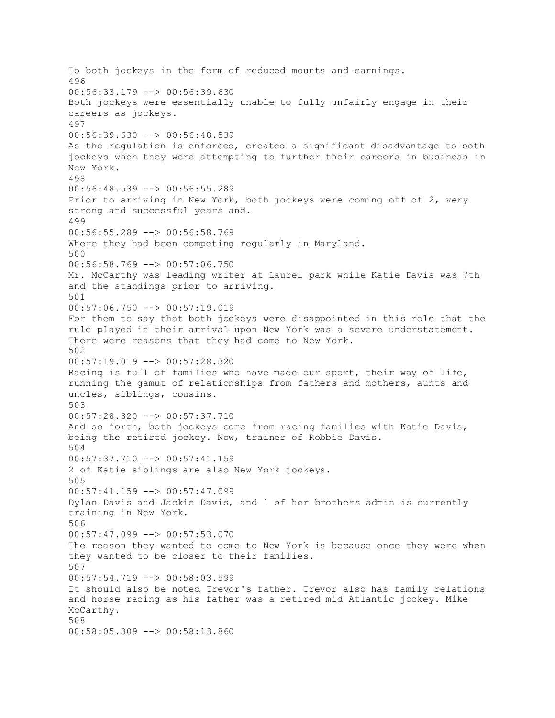To both jockeys in the form of reduced mounts and earnings. 496 00:56:33.179 --> 00:56:39.630 Both jockeys were essentially unable to fully unfairly engage in their careers as jockeys. 497 00:56:39.630 --> 00:56:48.539 As the regulation is enforced, created a significant disadvantage to both jockeys when they were attempting to further their careers in business in New York. 498 00:56:48.539 --> 00:56:55.289 Prior to arriving in New York, both jockeys were coming off of 2, very strong and successful years and. 499 00:56:55.289 --> 00:56:58.769 Where they had been competing regularly in Maryland. 500 00:56:58.769 --> 00:57:06.750 Mr. McCarthy was leading writer at Laurel park while Katie Davis was 7th and the standings prior to arriving. 501 00:57:06.750 --> 00:57:19.019 For them to say that both jockeys were disappointed in this role that the rule played in their arrival upon New York was a severe understatement. There were reasons that they had come to New York. 502 00:57:19.019 --> 00:57:28.320 Racing is full of families who have made our sport, their way of life, running the gamut of relationships from fathers and mothers, aunts and uncles, siblings, cousins. 503 00:57:28.320 --> 00:57:37.710 And so forth, both jockeys come from racing families with Katie Davis, being the retired jockey. Now, trainer of Robbie Davis. 504 00:57:37.710 --> 00:57:41.159 2 of Katie siblings are also New York jockeys. 505 00:57:41.159 --> 00:57:47.099 Dylan Davis and Jackie Davis, and 1 of her brothers admin is currently training in New York. 506 00:57:47.099 --> 00:57:53.070 The reason they wanted to come to New York is because once they were when they wanted to be closer to their families. 507 00:57:54.719 --> 00:58:03.599 It should also be noted Trevor's father. Trevor also has family relations and horse racing as his father was a retired mid Atlantic jockey. Mike McCarthy. 508 00:58:05.309 --> 00:58:13.860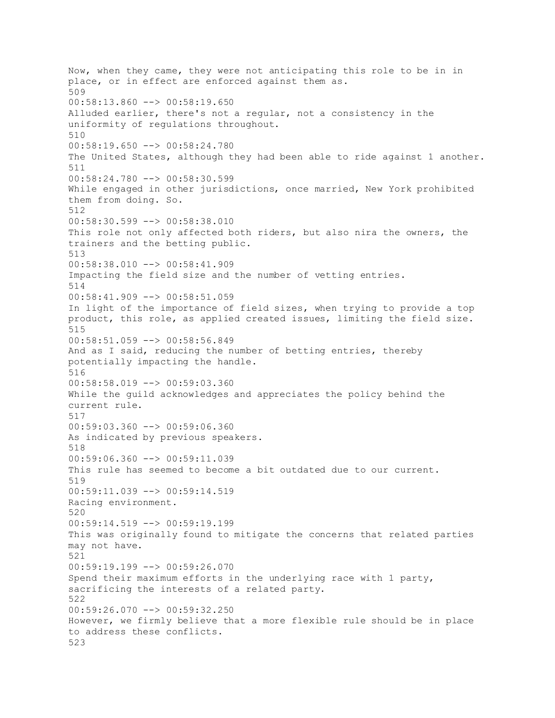Now, when they came, they were not anticipating this role to be in in place, or in effect are enforced against them as. 509  $00:58:13.860$  -->  $00:58:19.650$ Alluded earlier, there's not a regular, not a consistency in the uniformity of regulations throughout. 510 00:58:19.650 --> 00:58:24.780 The United States, although they had been able to ride against 1 another. 511 00:58:24.780 --> 00:58:30.599 While engaged in other jurisdictions, once married, New York prohibited them from doing. So. 512 00:58:30.599 --> 00:58:38.010 This role not only affected both riders, but also nira the owners, the trainers and the betting public. 513 00:58:38.010 --> 00:58:41.909 Impacting the field size and the number of vetting entries. 514 00:58:41.909 --> 00:58:51.059 In light of the importance of field sizes, when trying to provide a top product, this role, as applied created issues, limiting the field size. 515 00:58:51.059 --> 00:58:56.849 And as I said, reducing the number of betting entries, thereby potentially impacting the handle. 516 00:58:58.019 --> 00:59:03.360 While the guild acknowledges and appreciates the policy behind the current rule. 517 00:59:03.360 --> 00:59:06.360 As indicated by previous speakers. 518 00:59:06.360 --> 00:59:11.039 This rule has seemed to become a bit outdated due to our current. 519 00:59:11.039 --> 00:59:14.519 Racing environment. 520 00:59:14.519 --> 00:59:19.199 This was originally found to mitigate the concerns that related parties may not have. 521  $00:59:19.199$   $\longrightarrow$   $00:59:26.070$ Spend their maximum efforts in the underlying race with 1 party, sacrificing the interests of a related party. 522 00:59:26.070 --> 00:59:32.250 However, we firmly believe that a more flexible rule should be in place to address these conflicts. 523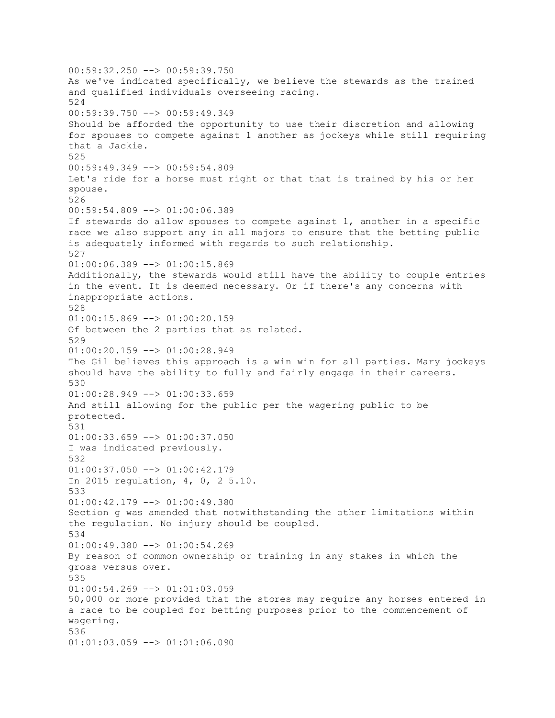00:59:32.250 --> 00:59:39.750 As we've indicated specifically, we believe the stewards as the trained and qualified individuals overseeing racing. 524 00:59:39.750 --> 00:59:49.349 Should be afforded the opportunity to use their discretion and allowing for spouses to compete against 1 another as jockeys while still requiring that a Jackie. 525 00:59:49.349 --> 00:59:54.809 Let's ride for a horse must right or that that is trained by his or her spouse. 526 00:59:54.809 --> 01:00:06.389 If stewards do allow spouses to compete against 1, another in a specific race we also support any in all majors to ensure that the betting public is adequately informed with regards to such relationship. 527 01:00:06.389 --> 01:00:15.869 Additionally, the stewards would still have the ability to couple entries in the event. It is deemed necessary. Or if there's any concerns with inappropriate actions. 528 01:00:15.869 --> 01:00:20.159 Of between the 2 parties that as related. 529  $01:00:20.159$  -->  $01:00:28.949$ The Gil believes this approach is a win win for all parties. Mary jockeys should have the ability to fully and fairly engage in their careers. 530 01:00:28.949 --> 01:00:33.659 And still allowing for the public per the wagering public to be protected. 531 01:00:33.659 --> 01:00:37.050 I was indicated previously. 532 01:00:37.050 --> 01:00:42.179 In 2015 regulation, 4, 0, 2 5.10. 533  $01:00:42.179$  -->  $01:00:49.380$ Section g was amended that notwithstanding the other limitations within the regulation. No injury should be coupled. 534 01:00:49.380 --> 01:00:54.269 By reason of common ownership or training in any stakes in which the gross versus over. 535 01:00:54.269 --> 01:01:03.059 50,000 or more provided that the stores may require any horses entered in a race to be coupled for betting purposes prior to the commencement of wagering. 536 01:01:03.059 --> 01:01:06.090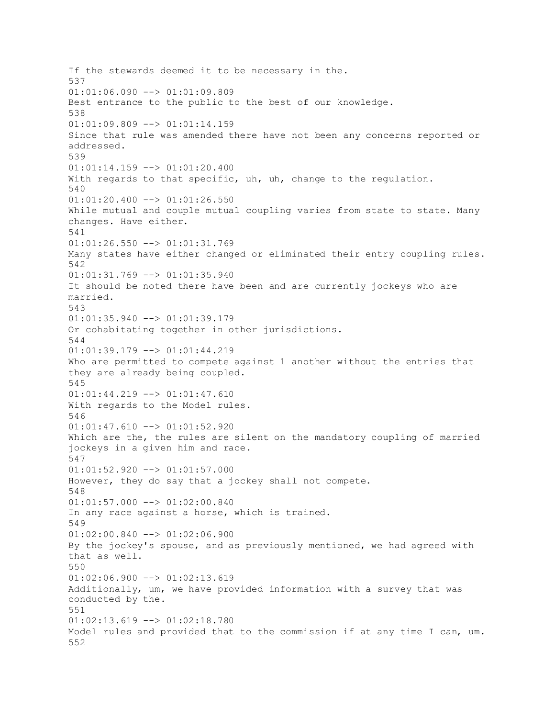If the stewards deemed it to be necessary in the. 537 01:01:06.090 --> 01:01:09.809 Best entrance to the public to the best of our knowledge. 538 01:01:09.809 --> 01:01:14.159 Since that rule was amended there have not been any concerns reported or addressed. 539  $01:01:14.159$  -->  $01:01:20.400$ With regards to that specific, uh, uh, change to the regulation. 540 01:01:20.400 --> 01:01:26.550 While mutual and couple mutual coupling varies from state to state. Many changes. Have either. 541 01:01:26.550 --> 01:01:31.769 Many states have either changed or eliminated their entry coupling rules. 542 01:01:31.769 --> 01:01:35.940 It should be noted there have been and are currently jockeys who are married. 543 01:01:35.940 --> 01:01:39.179 Or cohabitating together in other jurisdictions. 544 01:01:39.179 --> 01:01:44.219 Who are permitted to compete against 1 another without the entries that they are already being coupled. 545 01:01:44.219 --> 01:01:47.610 With regards to the Model rules. 546  $01:01:47.610$  -->  $01:01:52.920$ Which are the, the rules are silent on the mandatory coupling of married jockeys in a given him and race. 547 01:01:52.920 --> 01:01:57.000 However, they do say that a jockey shall not compete. 548 01:01:57.000 --> 01:02:00.840 In any race against a horse, which is trained. 549 01:02:00.840 --> 01:02:06.900 By the jockey's spouse, and as previously mentioned, we had agreed with that as well. 550  $01:02:06.900$  -->  $01:02:13.619$ Additionally, um, we have provided information with a survey that was conducted by the. 551  $01:02:13.619$  -->  $01:02:18.780$ Model rules and provided that to the commission if at any time I can, um. 552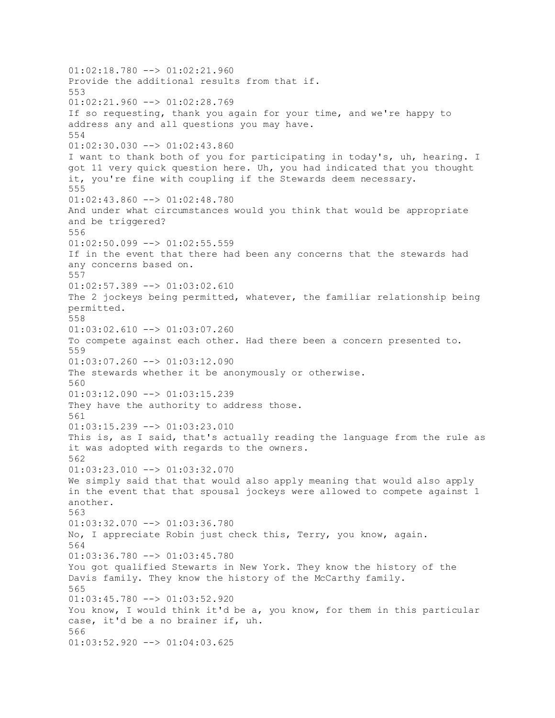$01:02:18.780$  -->  $01:02:21.960$ Provide the additional results from that if. 553  $01:02:21.960$  -->  $01:02:28.769$ If so requesting, thank you again for your time, and we're happy to address any and all questions you may have. 554 01:02:30.030 --> 01:02:43.860 I want to thank both of you for participating in today's, uh, hearing. I got 11 very quick question here. Uh, you had indicated that you thought it, you're fine with coupling if the Stewards deem necessary. 555 01:02:43.860 --> 01:02:48.780 And under what circumstances would you think that would be appropriate and be triggered? 556 01:02:50.099 --> 01:02:55.559 If in the event that there had been any concerns that the stewards had any concerns based on. 557 01:02:57.389 --> 01:03:02.610 The 2 jockeys being permitted, whatever, the familiar relationship being permitted. 558 01:03:02.610 --> 01:03:07.260 To compete against each other. Had there been a concern presented to. 559  $01:03:07.260$  -->  $01:03:12.090$ The stewards whether it be anonymously or otherwise. 560 01:03:12.090 --> 01:03:15.239 They have the authority to address those. 561 01:03:15.239 --> 01:03:23.010 This is, as I said, that's actually reading the language from the rule as it was adopted with regards to the owners. 562 01:03:23.010 --> 01:03:32.070 We simply said that that would also apply meaning that would also apply in the event that that spousal jockeys were allowed to compete against 1 another. 563  $01:03:32.070$  -->  $01:03:36.780$ No, I appreciate Robin just check this, Terry, you know, again. 564 01:03:36.780 --> 01:03:45.780 You got qualified Stewarts in New York. They know the history of the Davis family. They know the history of the McCarthy family. 565 01:03:45.780 --> 01:03:52.920 You know, I would think it'd be a, you know, for them in this particular case, it'd be a no brainer if, uh. 566 01:03:52.920 --> 01:04:03.625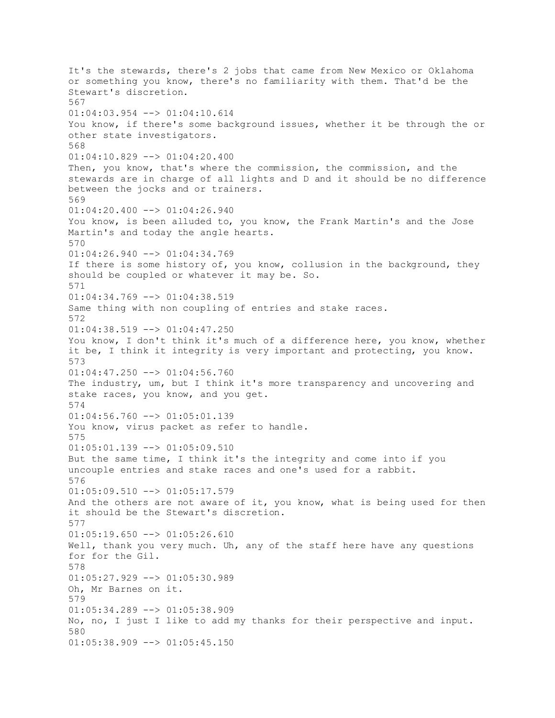It's the stewards, there's 2 jobs that came from New Mexico or Oklahoma or something you know, there's no familiarity with them. That'd be the Stewart's discretion. 567 01:04:03.954 --> 01:04:10.614 You know, if there's some background issues, whether it be through the or other state investigators. 568  $01:04:10.829$  -->  $01:04:20.400$ Then, you know, that's where the commission, the commission, and the stewards are in charge of all lights and D and it should be no difference between the jocks and or trainers. 569 01:04:20.400 --> 01:04:26.940 You know, is been alluded to, you know, the Frank Martin's and the Jose Martin's and today the angle hearts. 570  $01:04:26.940$  -->  $01:04:34.769$ If there is some history of, you know, collusion in the background, they should be coupled or whatever it may be. So. 571  $01:04:34.769$  -->  $01:04:38.519$ Same thing with non coupling of entries and stake races. 572 01:04:38.519 --> 01:04:47.250 You know, I don't think it's much of a difference here, you know, whether it be, I think it integrity is very important and protecting, you know. 573 01:04:47.250 --> 01:04:56.760 The industry, um, but I think it's more transparency and uncovering and stake races, you know, and you get. 574 01:04:56.760 --> 01:05:01.139 You know, virus packet as refer to handle. 575  $01:05:01.139$  -->  $01:05:09.510$ But the same time, I think it's the integrity and come into if you uncouple entries and stake races and one's used for a rabbit. 576 01:05:09.510 --> 01:05:17.579 And the others are not aware of it, you know, what is being used for then it should be the Stewart's discretion. 577  $01:05:19.650$  -->  $01:05:26.610$ Well, thank you very much. Uh, any of the staff here have any questions for for the Gil. 578 01:05:27.929 --> 01:05:30.989 Oh, Mr Barnes on it. 579 01:05:34.289 --> 01:05:38.909 No, no, I just I like to add my thanks for their perspective and input. 580  $01:05:38.909$  -->  $01:05:45.150$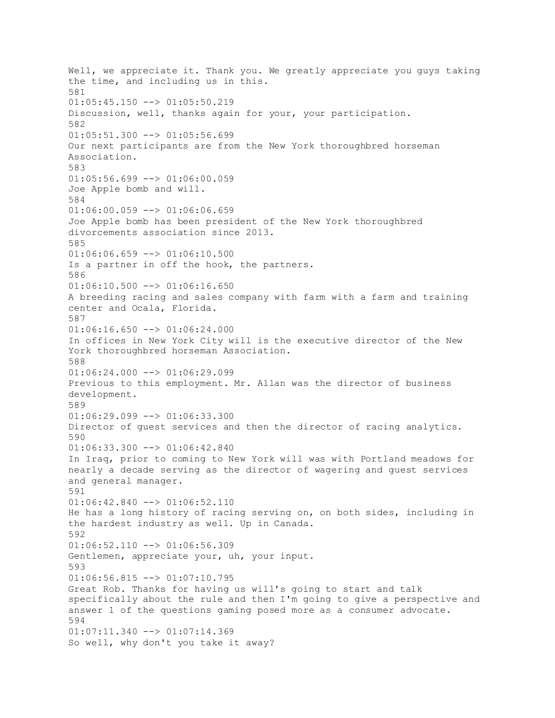Well, we appreciate it. Thank you. We greatly appreciate you guys taking the time, and including us in this. 581  $01:05:45.150$  -->  $01:05:50.219$ Discussion, well, thanks again for your, your participation. 582  $01:05:51.300$  -->  $01:05:56.699$ Our next participants are from the New York thoroughbred horseman Association. 583  $01:05:56.699$  -->  $01:06:00.059$ Joe Apple bomb and will. 584 01:06:00.059 --> 01:06:06.659 Joe Apple bomb has been president of the New York thoroughbred divorcements association since 2013. 585  $01:06:06.659$  -->  $01:06:10.500$ Is a partner in off the hook, the partners. 586 01:06:10.500 --> 01:06:16.650 A breeding racing and sales company with farm with a farm and training center and Ocala, Florida. 587  $01:06:16.650$  -->  $01:06:24.000$ In offices in New York City will is the executive director of the New York thoroughbred horseman Association. 588  $01:06:24.000$  -->  $01:06:29.099$ Previous to this employment. Mr. Allan was the director of business development. 589  $01:06:29.099$  -->  $01:06:33.300$ Director of guest services and then the director of racing analytics. 590 01:06:33.300 --> 01:06:42.840 In Iraq, prior to coming to New York will was with Portland meadows for nearly a decade serving as the director of wagering and guest services and general manager. 591  $01:06:42.840$  -->  $01:06:52.110$ He has a long history of racing serving on, on both sides, including in the hardest industry as well. Up in Canada. 592  $01:06:52.110$  -->  $01:06:56.309$ Gentlemen, appreciate your, uh, your input. 593  $01:06:56.815$  -->  $01:07:10.795$ Great Rob. Thanks for having us will's going to start and talk specifically about the rule and then I'm going to give a perspective and answer 1 of the questions gaming posed more as a consumer advocate. 594 01:07:11.340 --> 01:07:14.369 So well, why don't you take it away?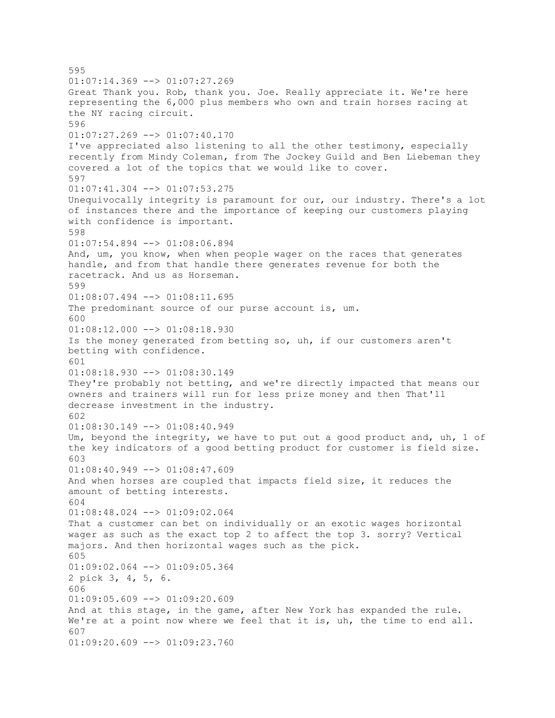595  $01:07:14.369$  -->  $01:07:27.269$ Great Thank you. Rob, thank you. Joe. Really appreciate it. We're here representing the 6,000 plus members who own and train horses racing at the NY racing circuit. 596 01:07:27.269 --> 01:07:40.170 I've appreciated also listening to all the other testimony, especially recently from Mindy Coleman, from The Jockey Guild and Ben Liebeman they covered a lot of the topics that we would like to cover. 597 01:07:41.304 --> 01:07:53.275 Unequivocally integrity is paramount for our, our industry. There's a lot of instances there and the importance of keeping our customers playing with confidence is important. 598 01:07:54.894 --> 01:08:06.894 And, um, you know, when when people wager on the races that generates handle, and from that handle there generates revenue for both the racetrack. And us as Horseman. 599  $01:08:07.494$   $\leftarrow$   $>$   $01:08:11.695$ The predominant source of our purse account is, um. 600 01:08:12.000 --> 01:08:18.930 Is the money generated from betting so, uh, if our customers aren't betting with confidence. 601  $01:08:18.930$  -->  $01:08:30.149$ They're probably not betting, and we're directly impacted that means our owners and trainers will run for less prize money and then That'll decrease investment in the industry. 602  $01:08:30.149$   $\rightarrow$  01:08:40.949 Um, beyond the integrity, we have to put out a good product and, uh, 1 of the key indicators of a good betting product for customer is field size. 603 01:08:40.949 --> 01:08:47.609 And when horses are coupled that impacts field size, it reduces the amount of betting interests. 604 01:08:48.024 --> 01:09:02.064 That a customer can bet on individually or an exotic wages horizontal wager as such as the exact top 2 to affect the top 3. sorry? Vertical majors. And then horizontal wages such as the pick. 605 01:09:02.064 --> 01:09:05.364 2 pick 3, 4, 5, 6. 606  $01:09:05.609$  -->  $01:09:20.609$ And at this stage, in the game, after New York has expanded the rule. We're at a point now where we feel that it is, uh, the time to end all. 607 01:09:20.609 --> 01:09:23.760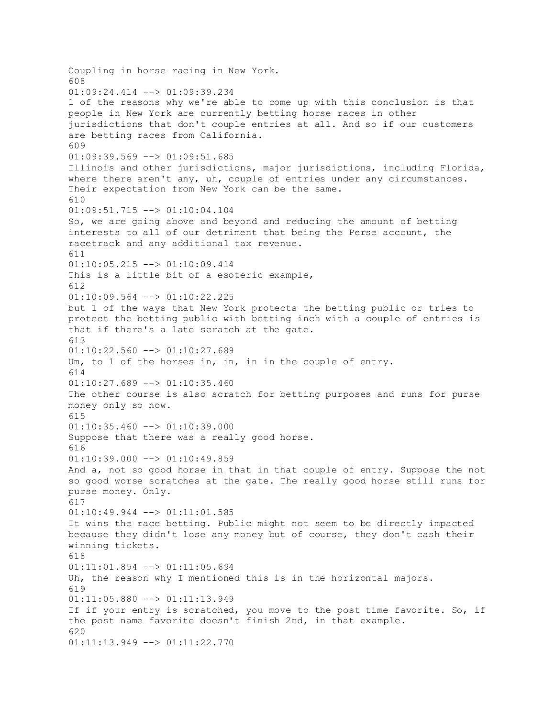Coupling in horse racing in New York. 608 01:09:24.414 --> 01:09:39.234 1 of the reasons why we're able to come up with this conclusion is that people in New York are currently betting horse races in other jurisdictions that don't couple entries at all. And so if our customers are betting races from California. 609 01:09:39.569 --> 01:09:51.685 Illinois and other jurisdictions, major jurisdictions, including Florida, where there aren't any, uh, couple of entries under any circumstances. Their expectation from New York can be the same. 610 01:09:51.715 --> 01:10:04.104 So, we are going above and beyond and reducing the amount of betting interests to all of our detriment that being the Perse account, the racetrack and any additional tax revenue. 611 01:10:05.215 --> 01:10:09.414 This is a little bit of a esoteric example, 612  $01:10:09.564$   $\leftarrow$   $>$   $01:10:22.225$ but 1 of the ways that New York protects the betting public or tries to protect the betting public with betting inch with a couple of entries is that if there's a late scratch at the gate. 613  $01:10:22.560$  -->  $01:10:27.689$ Um, to 1 of the horses in, in, in in the couple of entry. 614  $01:10:27.689$  -->  $01:10:35.460$ The other course is also scratch for betting purposes and runs for purse money only so now. 615  $01:10:35.460$  -->  $01:10:39.000$ Suppose that there was a really good horse. 616  $01:10:39.000$  -->  $01:10:49.859$ And a, not so good horse in that in that couple of entry. Suppose the not so good worse scratches at the gate. The really good horse still runs for purse money. Only. 617 01:10:49.944 --> 01:11:01.585 It wins the race betting. Public might not seem to be directly impacted because they didn't lose any money but of course, they don't cash their winning tickets. 618 01:11:01.854 --> 01:11:05.694 Uh, the reason why I mentioned this is in the horizontal majors. 619 01:11:05.880 --> 01:11:13.949 If if your entry is scratched, you move to the post time favorite. So, if the post name favorite doesn't finish 2nd, in that example. 620 01:11:13.949 --> 01:11:22.770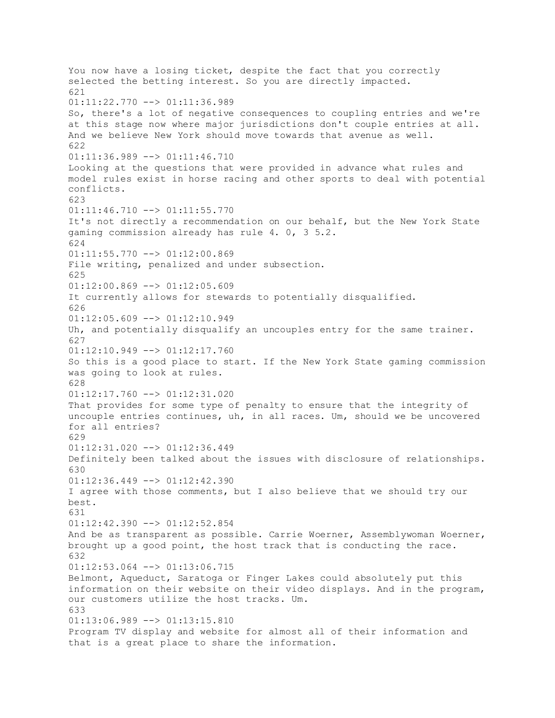You now have a losing ticket, despite the fact that you correctly selected the betting interest. So you are directly impacted. 621 01:11:22.770 --> 01:11:36.989 So, there's a lot of negative consequences to coupling entries and we're at this stage now where major jurisdictions don't couple entries at all. And we believe New York should move towards that avenue as well. 622 01:11:36.989 --> 01:11:46.710 Looking at the questions that were provided in advance what rules and model rules exist in horse racing and other sports to deal with potential conflicts. 623 01:11:46.710 --> 01:11:55.770 It's not directly a recommendation on our behalf, but the New York State gaming commission already has rule 4. 0, 3 5.2. 624  $01:11:55.770$  -->  $01:12:00.869$ File writing, penalized and under subsection. 625  $01:12:00.869$  -->  $01:12:05.609$ It currently allows for stewards to potentially disqualified. 626 01:12:05.609 --> 01:12:10.949 Uh, and potentially disqualify an uncouples entry for the same trainer. 627 01:12:10.949 --> 01:12:17.760 So this is a good place to start. If the New York State gaming commission was going to look at rules. 628 01:12:17.760 --> 01:12:31.020 That provides for some type of penalty to ensure that the integrity of uncouple entries continues, uh, in all races. Um, should we be uncovered for all entries? 629  $01:12:31.020$  -->  $01:12:36.449$ Definitely been talked about the issues with disclosure of relationships. 630  $01:12:36.449$  -->  $01:12:42.390$ I agree with those comments, but I also believe that we should try our best. 631 01:12:42.390 --> 01:12:52.854 And be as transparent as possible. Carrie Woerner, Assemblywoman Woerner, brought up a good point, the host track that is conducting the race. 632 01:12:53.064 --> 01:13:06.715 Belmont, Aqueduct, Saratoga or Finger Lakes could absolutely put this information on their website on their video displays. And in the program, our customers utilize the host tracks. Um. 633 01:13:06.989 --> 01:13:15.810 Program TV display and website for almost all of their information and that is a great place to share the information.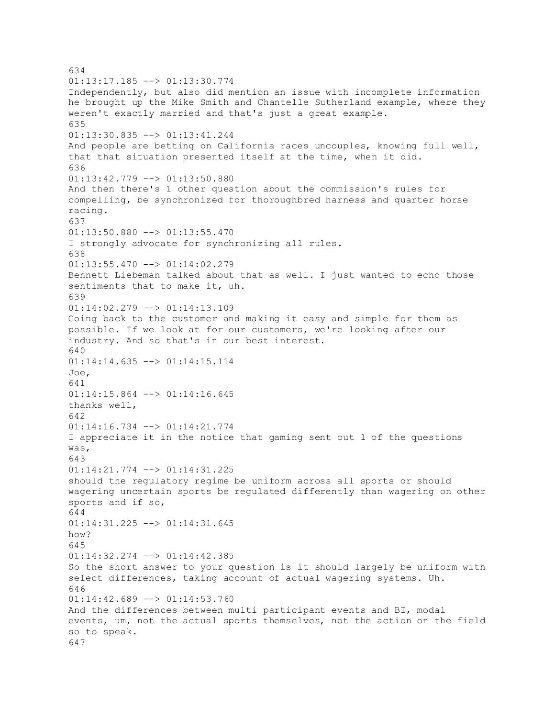634  $01:13:17.185$   $\leftarrow$   $>$   $01:13:30.774$ Independently, but also did mention an issue with incomplete information he brought up the Mike Smith and Chantelle Sutherland example, where they weren't exactly married and that's just a great example. 635 01:13:30.835 --> 01:13:41.244 And people are betting on California races uncouples, knowing full well, that that situation presented itself at the time, when it did. 636 01:13:42.779 --> 01:13:50.880 And then there's 1 other question about the commission's rules for compelling, be synchronized for thoroughbred harness and quarter horse racing. 637  $01:13:50.880$  -->  $01:13:55.470$ I strongly advocate for synchronizing all rules. 638 01:13:55.470 --> 01:14:02.279 Bennett Liebeman talked about that as well. I just wanted to echo those sentiments that to make it, uh. 639 01:14:02.279 --> 01:14:13.109 Going back to the customer and making it easy and simple for them as possible. If we look at for our customers, we're looking after our industry. And so that's in our best interest. 640  $01:14:14.635$  -->  $01:14:15.114$ Joe, 641 01:14:15.864 --> 01:14:16.645 thanks well, 642 01:14:16.734 --> 01:14:21.774 I appreciate it in the notice that gaming sent out 1 of the questions was, 643 01:14:21.774 --> 01:14:31.225 should the regulatory regime be uniform across all sports or should wagering uncertain sports be regulated differently than wagering on other sports and if so, 644 01:14:31.225 --> 01:14:31.645 how? 645 01:14:32.274 --> 01:14:42.385 So the short answer to your question is it should largely be uniform with select differences, taking account of actual wagering systems. Uh. 646 01:14:42.689 --> 01:14:53.760 And the differences between multi participant events and BI, modal events, um, not the actual sports themselves, not the action on the field so to speak. 647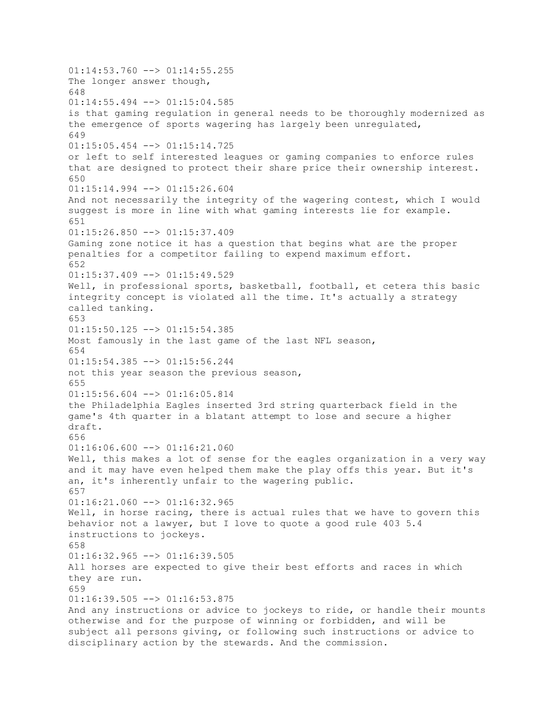$01:14:53.760$  -->  $01:14:55.255$ The longer answer though, 648  $01:14:55.494$  -->  $01:15:04.585$ is that gaming regulation in general needs to be thoroughly modernized as the emergence of sports wagering has largely been unregulated, 649 01:15:05.454 --> 01:15:14.725 or left to self interested leagues or gaming companies to enforce rules that are designed to protect their share price their ownership interest. 650 01:15:14.994 --> 01:15:26.604 And not necessarily the integrity of the wagering contest, which I would suggest is more in line with what gaming interests lie for example. 651  $01:15:26.850$  -->  $01:15:37.409$ Gaming zone notice it has a question that begins what are the proper penalties for a competitor failing to expend maximum effort. 652 01:15:37.409 --> 01:15:49.529 Well, in professional sports, basketball, football, et cetera this basic integrity concept is violated all the time. It's actually a strategy called tanking. 653 01:15:50.125 --> 01:15:54.385 Most famously in the last game of the last NFL season, 654  $01:15:54.385$   $\leftarrow$   $>$   $01:15:56.244$ not this year season the previous season, 655 01:15:56.604 --> 01:16:05.814 the Philadelphia Eagles inserted 3rd string quarterback field in the game's 4th quarter in a blatant attempt to lose and secure a higher draft. 656  $01:16:06.600$  -->  $01:16:21.060$ Well, this makes a lot of sense for the eagles organization in a very way and it may have even helped them make the play offs this year. But it's an, it's inherently unfair to the wagering public. 657 01:16:21.060 --> 01:16:32.965 Well, in horse racing, there is actual rules that we have to govern this behavior not a lawyer, but I love to quote a good rule 403 5.4 instructions to jockeys. 658  $01:16:32.965$  -->  $01:16:39.505$ All horses are expected to give their best efforts and races in which they are run. 659  $01:16:39.505$  -->  $01:16:53.875$ And any instructions or advice to jockeys to ride, or handle their mounts otherwise and for the purpose of winning or forbidden, and will be subject all persons giving, or following such instructions or advice to disciplinary action by the stewards. And the commission.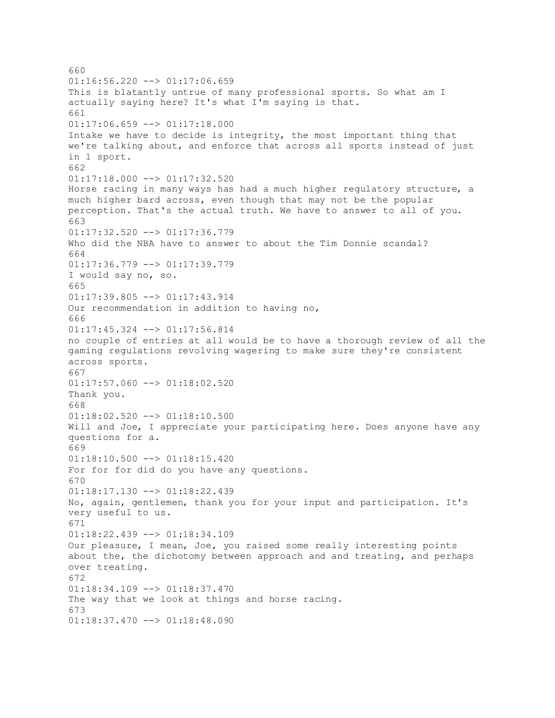660  $01:16:56.220$  -->  $01:17:06.659$ This is blatantly untrue of many professional sports. So what am I actually saying here? It's what I'm saying is that. 661  $01:17:06.659$  -->  $01:17:18.000$ Intake we have to decide is integrity, the most important thing that we're talking about, and enforce that across all sports instead of just in 1 sport. 662 01:17:18.000 --> 01:17:32.520 Horse racing in many ways has had a much higher regulatory structure, a much higher bard across, even though that may not be the popular perception. That's the actual truth. We have to answer to all of you. 663 01:17:32.520 --> 01:17:36.779 Who did the NBA have to answer to about the Tim Donnie scandal? 664 01:17:36.779 --> 01:17:39.779 I would say no, so. 665  $01:17:39.805$   $\leftarrow$   $>$   $01:17:43.914$ Our recommendation in addition to having no, 666 01:17:45.324 --> 01:17:56.814 no couple of entries at all would be to have a thorough review of all the gaming regulations revolving wagering to make sure they're consistent across sports. 667  $01:17:57.060$  -->  $01:18:02.520$ Thank you. 668  $01:18:02.520$  -->  $01:18:10.500$ Will and Joe, I appreciate your participating here. Does anyone have any questions for a. 669 01:18:10.500 --> 01:18:15.420 For for for did do you have any questions. 670 01:18:17.130 --> 01:18:22.439 No, again, gentlemen, thank you for your input and participation. It's very useful to us. 671 01:18:22.439 --> 01:18:34.109 Our pleasure, I mean, Joe, you raised some really interesting points about the, the dichotomy between approach and and treating, and perhaps over treating. 672 01:18:34.109 --> 01:18:37.470 The way that we look at things and horse racing. 673  $01:18:37.470$  -->  $01:18:48.090$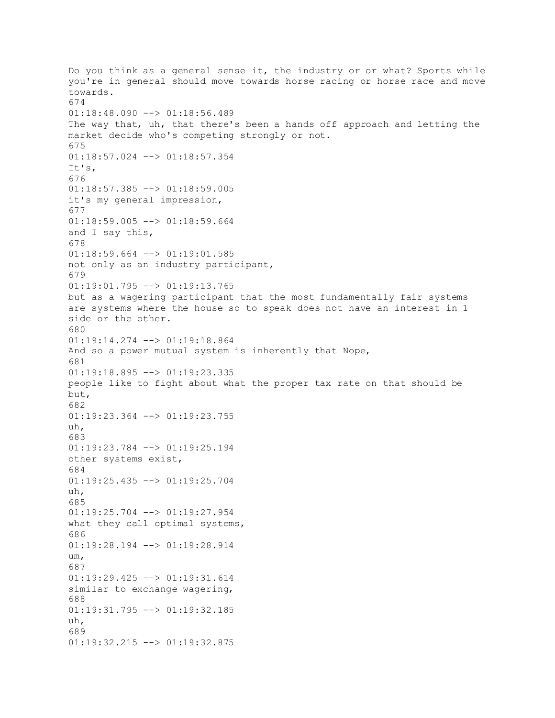Do you think as a general sense it, the industry or or what? Sports while you're in general should move towards horse racing or horse race and move towards. 674 01:18:48.090 --> 01:18:56.489 The way that, uh, that there's been a hands off approach and letting the market decide who's competing strongly or not. 675 01:18:57.024 --> 01:18:57.354 It's, 676 01:18:57.385 --> 01:18:59.005 it's my general impression, 677 01:18:59.005 --> 01:18:59.664 and I say this, 678 01:18:59.664 --> 01:19:01.585 not only as an industry participant, 679 01:19:01.795 --> 01:19:13.765 but as a wagering participant that the most fundamentally fair systems are systems where the house so to speak does not have an interest in 1 side or the other. 680 01:19:14.274 --> 01:19:18.864 And so a power mutual system is inherently that Nope, 681 01:19:18.895 --> 01:19:23.335 people like to fight about what the proper tax rate on that should be but, 682 01:19:23.364 --> 01:19:23.755 uh, 683 01:19:23.784 --> 01:19:25.194 other systems exist, 684 01:19:25.435 --> 01:19:25.704 uh, 685 01:19:25.704 --> 01:19:27.954 what they call optimal systems, 686 01:19:28.194 --> 01:19:28.914 um, 687 01:19:29.425 --> 01:19:31.614 similar to exchange wagering, 688 01:19:31.795 --> 01:19:32.185  $i<sub>1</sub>h$ . 689 01:19:32.215 --> 01:19:32.875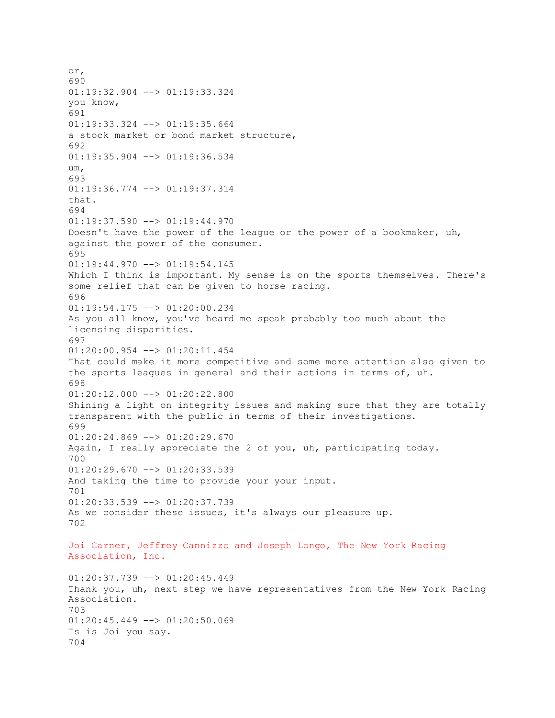or, 690 01:19:32.904 --> 01:19:33.324 you know, 691 01:19:33.324 --> 01:19:35.664 a stock market or bond market structure, 692 01:19:35.904 --> 01:19:36.534 um, 693 01:19:36.774 --> 01:19:37.314 that. 694  $01:19:37.590$  -->  $01:19:44.970$ Doesn't have the power of the league or the power of a bookmaker, uh, against the power of the consumer. 695 01:19:44.970 --> 01:19:54.145 Which I think is important. My sense is on the sports themselves. There's some relief that can be given to horse racing. 696 01:19:54.175 --> 01:20:00.234 As you all know, you've heard me speak probably too much about the licensing disparities. 697 01:20:00.954 --> 01:20:11.454 That could make it more competitive and some more attention also given to the sports leagues in general and their actions in terms of, uh. 698 01:20:12.000 --> 01:20:22.800 Shining a light on integrity issues and making sure that they are totally transparent with the public in terms of their investigations. 699 01:20:24.869 --> 01:20:29.670 Again, I really appreciate the 2 of you, uh, participating today. 700 01:20:29.670 --> 01:20:33.539 And taking the time to provide your your input. 701 01:20:33.539 --> 01:20:37.739 As we consider these issues, it's always our pleasure up. 702 Joi Garner, Jeffrey Cannizzo and Joseph Longo, The New York Racing Association, Inc. 01:20:37.739 --> 01:20:45.449 Thank you, uh, next step we have representatives from the New York Racing Association. 703  $01:20:45.449$  -->  $01:20:50.069$ Is is Joi you say. 704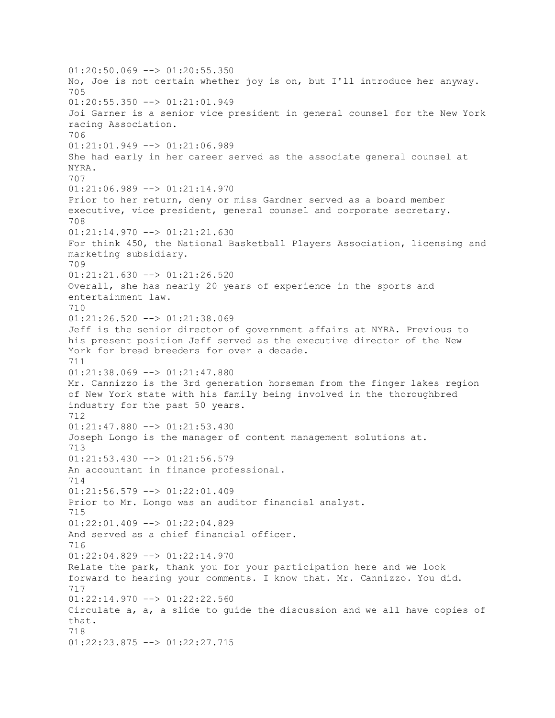$01:20:50.069$  -->  $01:20:55.350$ No, Joe is not certain whether joy is on, but I'll introduce her anyway. 705 01:20:55.350 --> 01:21:01.949 Joi Garner is a senior vice president in general counsel for the New York racing Association. 706 01:21:01.949 --> 01:21:06.989 She had early in her career served as the associate general counsel at NYRA. 707 01:21:06.989 --> 01:21:14.970 Prior to her return, deny or miss Gardner served as a board member executive, vice president, general counsel and corporate secretary. 708  $01:21:14.970$  -->  $01:21:21.630$ For think 450, the National Basketball Players Association, licensing and marketing subsidiary. 709 01:21:21.630 --> 01:21:26.520 Overall, she has nearly 20 years of experience in the sports and entertainment law. 710 01:21:26.520 --> 01:21:38.069 Jeff is the senior director of government affairs at NYRA. Previous to his present position Jeff served as the executive director of the New York for bread breeders for over a decade. 711 01:21:38.069 --> 01:21:47.880 Mr. Cannizzo is the 3rd generation horseman from the finger lakes region of New York state with his family being involved in the thoroughbred industry for the past 50 years. 712 01:21:47.880 --> 01:21:53.430 Joseph Longo is the manager of content management solutions at. 713 01:21:53.430 --> 01:21:56.579 An accountant in finance professional. 714 01:21:56.579 --> 01:22:01.409 Prior to Mr. Longo was an auditor financial analyst. 715 01:22:01.409 --> 01:22:04.829 And served as a chief financial officer. 716 01:22:04.829 --> 01:22:14.970 Relate the park, thank you for your participation here and we look forward to hearing your comments. I know that. Mr. Cannizzo. You did. 717 01:22:14.970 --> 01:22:22.560 Circulate a, a, a slide to guide the discussion and we all have copies of that. 718 01:22:23.875 --> 01:22:27.715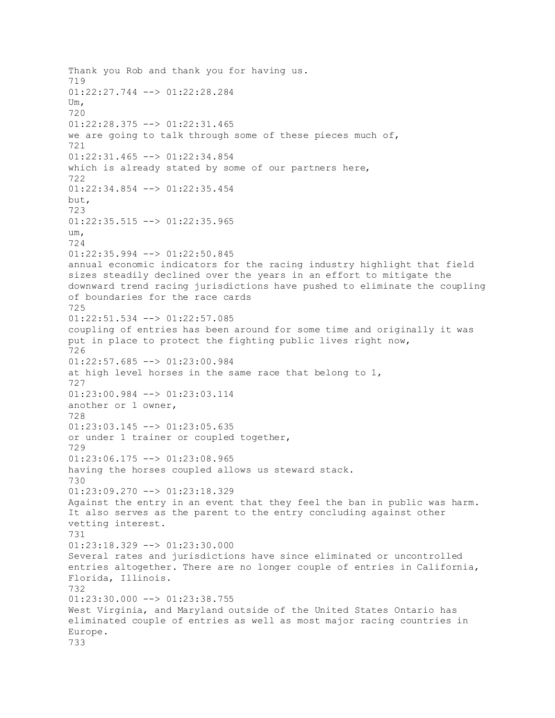Thank you Rob and thank you for having us. 719 01:22:27.744 --> 01:22:28.284 Um, 720 01:22:28.375 --> 01:22:31.465 we are going to talk through some of these pieces much of, 721 01:22:31.465 --> 01:22:34.854 which is already stated by some of our partners here, 722 01:22:34.854 --> 01:22:35.454 but, 723 01:22:35.515 --> 01:22:35.965 um, 724 01:22:35.994 --> 01:22:50.845 annual economic indicators for the racing industry highlight that field sizes steadily declined over the years in an effort to mitigate the downward trend racing jurisdictions have pushed to eliminate the coupling of boundaries for the race cards 725 01:22:51.534 --> 01:22:57.085 coupling of entries has been around for some time and originally it was put in place to protect the fighting public lives right now, 726  $01:22:57.685$  -->  $01:23:00.984$ at high level horses in the same race that belong to 1, 727 01:23:00.984 --> 01:23:03.114 another or 1 owner, 728  $01:23:03.145$  -->  $01:23:05.635$ or under 1 trainer or coupled together, 729 01:23:06.175 --> 01:23:08.965 having the horses coupled allows us steward stack. 730 01:23:09.270 --> 01:23:18.329 Against the entry in an event that they feel the ban in public was harm. It also serves as the parent to the entry concluding against other vetting interest. 731 01:23:18.329 --> 01:23:30.000 Several rates and jurisdictions have since eliminated or uncontrolled entries altogether. There are no longer couple of entries in California, Florida, Illinois. 732  $01:23:30.000$  -->  $01:23:38.755$ West Virginia, and Maryland outside of the United States Ontario has eliminated couple of entries as well as most major racing countries in Europe. 733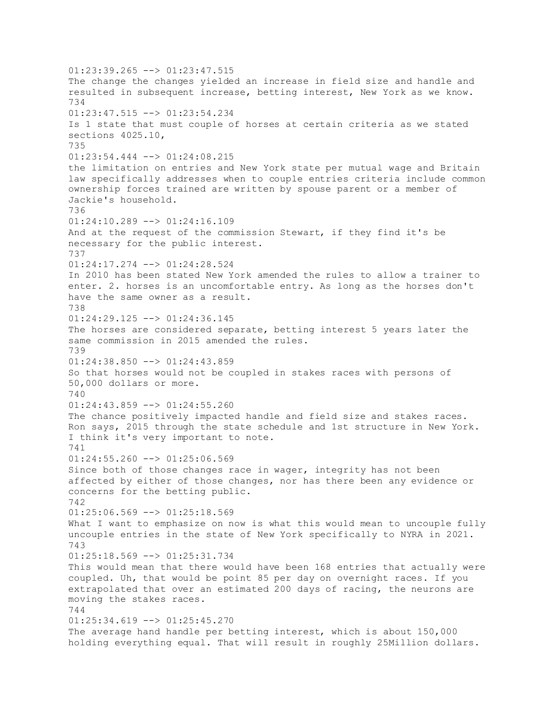$01:23:39.265$  -->  $01:23:47.515$ The change the changes yielded an increase in field size and handle and resulted in subsequent increase, betting interest, New York as we know. 734 01:23:47.515 --> 01:23:54.234 Is 1 state that must couple of horses at certain criteria as we stated sections 4025.10, 735 01:23:54.444 --> 01:24:08.215 the limitation on entries and New York state per mutual wage and Britain law specifically addresses when to couple entries criteria include common ownership forces trained are written by spouse parent or a member of Jackie's household. 736  $01:24:10.289$  -->  $01:24:16.109$ And at the request of the commission Stewart, if they find it's be necessary for the public interest. 737 01:24:17.274 --> 01:24:28.524 In 2010 has been stated New York amended the rules to allow a trainer to enter. 2. horses is an uncomfortable entry. As long as the horses don't have the same owner as a result. 738  $01:24:29.125$  -->  $01:24:36.145$ The horses are considered separate, betting interest 5 years later the same commission in 2015 amended the rules. 739 01:24:38.850 --> 01:24:43.859 So that horses would not be coupled in stakes races with persons of 50,000 dollars or more. 740 01:24:43.859 --> 01:24:55.260 The chance positively impacted handle and field size and stakes races. Ron says, 2015 through the state schedule and 1st structure in New York. I think it's very important to note. 741  $01:24:55.260$  -->  $01:25:06.569$ Since both of those changes race in wager, integrity has not been affected by either of those changes, nor has there been any evidence or concerns for the betting public. 742 01:25:06.569 --> 01:25:18.569 What I want to emphasize on now is what this would mean to uncouple fully uncouple entries in the state of New York specifically to NYRA in 2021. 743  $01:25:18.569$  -->  $01:25:31.734$ This would mean that there would have been 168 entries that actually were coupled. Uh, that would be point 85 per day on overnight races. If you extrapolated that over an estimated 200 days of racing, the neurons are moving the stakes races. 744  $01:25:34.619$  -->  $01:25:45.270$ The average hand handle per betting interest, which is about 150,000 holding everything equal. That will result in roughly 25Million dollars.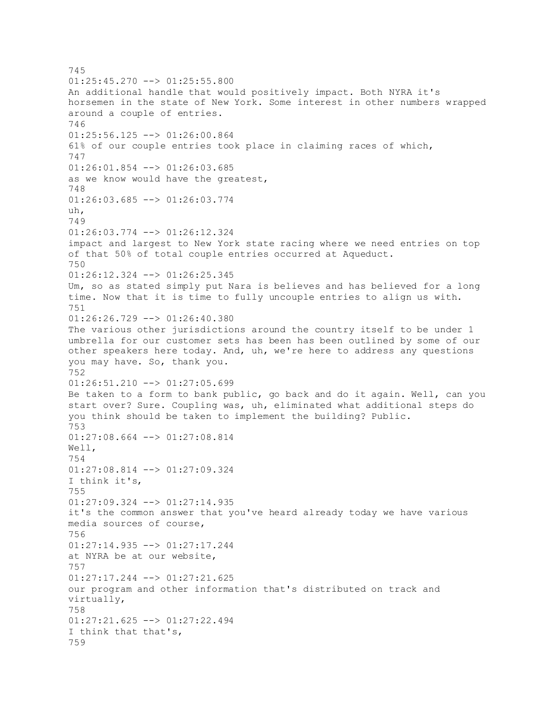745  $01:25:45.270$  -->  $01:25:55.800$ An additional handle that would positively impact. Both NYRA it's horsemen in the state of New York. Some interest in other numbers wrapped around a couple of entries. 746 01:25:56.125 --> 01:26:00.864 61% of our couple entries took place in claiming races of which, 747 01:26:01.854 --> 01:26:03.685 as we know would have the greatest, 748 01:26:03.685 --> 01:26:03.774 uh, 749 01:26:03.774 --> 01:26:12.324 impact and largest to New York state racing where we need entries on top of that 50% of total couple entries occurred at Aqueduct. 750 01:26:12.324 --> 01:26:25.345 Um, so as stated simply put Nara is believes and has believed for a long time. Now that it is time to fully uncouple entries to align us with. 751 01:26:26.729 --> 01:26:40.380 The various other jurisdictions around the country itself to be under 1 umbrella for our customer sets has been has been outlined by some of our other speakers here today. And, uh, we're here to address any questions you may have. So, thank you. 752 01:26:51.210 --> 01:27:05.699 Be taken to a form to bank public, go back and do it again. Well, can you start over? Sure. Coupling was, uh, eliminated what additional steps do you think should be taken to implement the building? Public. 753 01:27:08.664 --> 01:27:08.814 Well, 754 01:27:08.814 --> 01:27:09.324 I think it's, 755 01:27:09.324 --> 01:27:14.935 it's the common answer that you've heard already today we have various media sources of course, 756 01:27:14.935 --> 01:27:17.244 at NYRA be at our website, 757 01:27:17.244 --> 01:27:21.625 our program and other information that's distributed on track and virtually, 758 01:27:21.625 --> 01:27:22.494 I think that that's, 759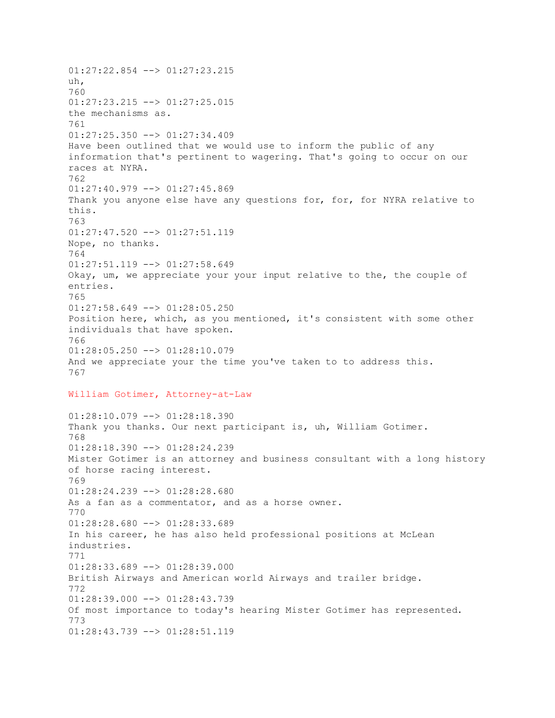01:27:22.854 --> 01:27:23.215 uh, 760  $01:27:23.215$  -->  $01:27:25.015$ the mechanisms as. 761 01:27:25.350 --> 01:27:34.409 Have been outlined that we would use to inform the public of any information that's pertinent to wagering. That's going to occur on our races at NYRA. 762 01:27:40.979 --> 01:27:45.869 Thank you anyone else have any questions for, for, for NYRA relative to this. 763  $01:27:47.520$  -->  $01:27:51.119$ Nope, no thanks. 764 01:27:51.119 --> 01:27:58.649 Okay, um, we appreciate your your input relative to the, the couple of entries. 765 01:27:58.649 --> 01:28:05.250 Position here, which, as you mentioned, it's consistent with some other individuals that have spoken. 766 01:28:05.250 --> 01:28:10.079 And we appreciate your the time you've taken to to address this. 767 William Gotimer, Attorney-at-Law 01:28:10.079 --> 01:28:18.390 Thank you thanks. Our next participant is, uh, William Gotimer.

768 01:28:18.390 --> 01:28:24.239 Mister Gotimer is an attorney and business consultant with a long history of horse racing interest. 769 01:28:24.239 --> 01:28:28.680 As a fan as a commentator, and as a horse owner. 770 01:28:28.680 --> 01:28:33.689 In his career, he has also held professional positions at McLean industries. 771 01:28:33.689 --> 01:28:39.000 British Airways and American world Airways and trailer bridge. 772 01:28:39.000 --> 01:28:43.739 Of most importance to today's hearing Mister Gotimer has represented. 773 01:28:43.739 --> 01:28:51.119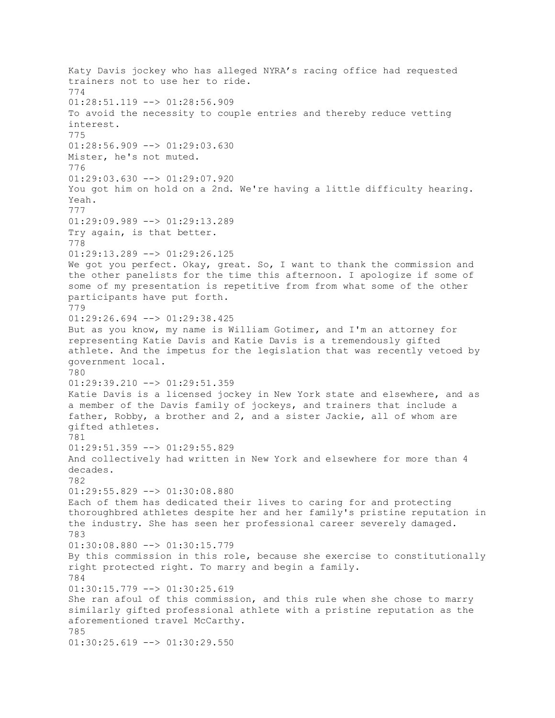Katy Davis jockey who has alleged NYRA's racing office had requested trainers not to use her to ride. 774  $01:28:51.119$  -->  $01:28:56.909$ To avoid the necessity to couple entries and thereby reduce vetting interest. 775 01:28:56.909 --> 01:29:03.630 Mister, he's not muted. 776 01:29:03.630 --> 01:29:07.920 You got him on hold on a 2nd. We're having a little difficulty hearing. Yeah. 777 01:29:09.989 --> 01:29:13.289 Try again, is that better. 778 01:29:13.289 --> 01:29:26.125 We got you perfect. Okay, great. So, I want to thank the commission and the other panelists for the time this afternoon. I apologize if some of some of my presentation is repetitive from from what some of the other participants have put forth. 779 01:29:26.694 --> 01:29:38.425 But as you know, my name is William Gotimer, and I'm an attorney for representing Katie Davis and Katie Davis is a tremendously gifted athlete. And the impetus for the legislation that was recently vetoed by government local. 780 01:29:39.210 --> 01:29:51.359 Katie Davis is a licensed jockey in New York state and elsewhere, and as a member of the Davis family of jockeys, and trainers that include a father, Robby, a brother and 2, and a sister Jackie, all of whom are gifted athletes. 781 01:29:51.359 --> 01:29:55.829 And collectively had written in New York and elsewhere for more than 4 decades. 782 01:29:55.829 --> 01:30:08.880 Each of them has dedicated their lives to caring for and protecting thoroughbred athletes despite her and her family's pristine reputation in the industry. She has seen her professional career severely damaged. 783 01:30:08.880 --> 01:30:15.779 By this commission in this role, because she exercise to constitutionally right protected right. To marry and begin a family. 784 01:30:15.779 --> 01:30:25.619 She ran afoul of this commission, and this rule when she chose to marry similarly gifted professional athlete with a pristine reputation as the aforementioned travel McCarthy. 785 01:30:25.619 --> 01:30:29.550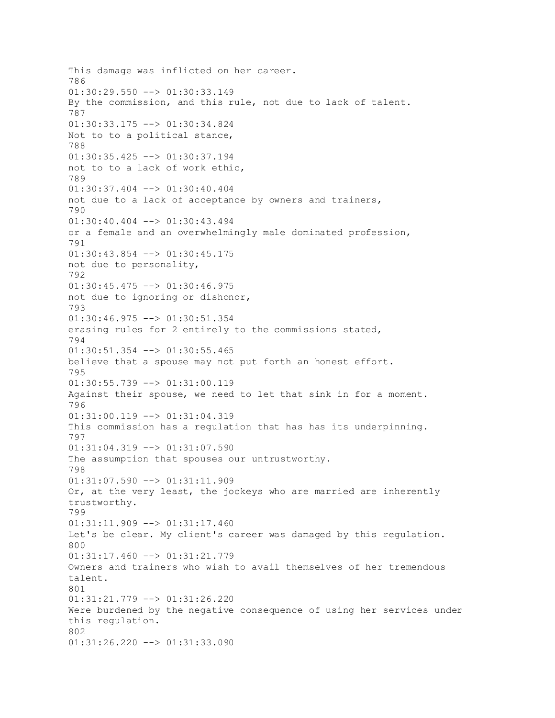This damage was inflicted on her career. 786 01:30:29.550 --> 01:30:33.149 By the commission, and this rule, not due to lack of talent. 787 01:30:33.175 --> 01:30:34.824 Not to to a political stance, 788 01:30:35.425 --> 01:30:37.194 not to to a lack of work ethic, 789 01:30:37.404 --> 01:30:40.404 not due to a lack of acceptance by owners and trainers, 790 01:30:40.404 --> 01:30:43.494 or a female and an overwhelmingly male dominated profession, 791 01:30:43.854 --> 01:30:45.175 not due to personality, 792 01:30:45.475 --> 01:30:46.975 not due to ignoring or dishonor, 793 01:30:46.975 --> 01:30:51.354 erasing rules for 2 entirely to the commissions stated, 794 01:30:51.354 --> 01:30:55.465 believe that a spouse may not put forth an honest effort. 795 01:30:55.739 --> 01:31:00.119 Against their spouse, we need to let that sink in for a moment. 796 01:31:00.119 --> 01:31:04.319 This commission has a regulation that has has its underpinning. 797 01:31:04.319 --> 01:31:07.590 The assumption that spouses our untrustworthy. 798  $01:31:07.590$  -->  $01:31:11.909$ Or, at the very least, the jockeys who are married are inherently trustworthy. 799 01:31:11.909 --> 01:31:17.460 Let's be clear. My client's career was damaged by this regulation. 800 01:31:17.460 --> 01:31:21.779 Owners and trainers who wish to avail themselves of her tremendous talent. 801 01:31:21.779 --> 01:31:26.220 Were burdened by the negative consequence of using her services under this regulation. 802 01:31:26.220 --> 01:31:33.090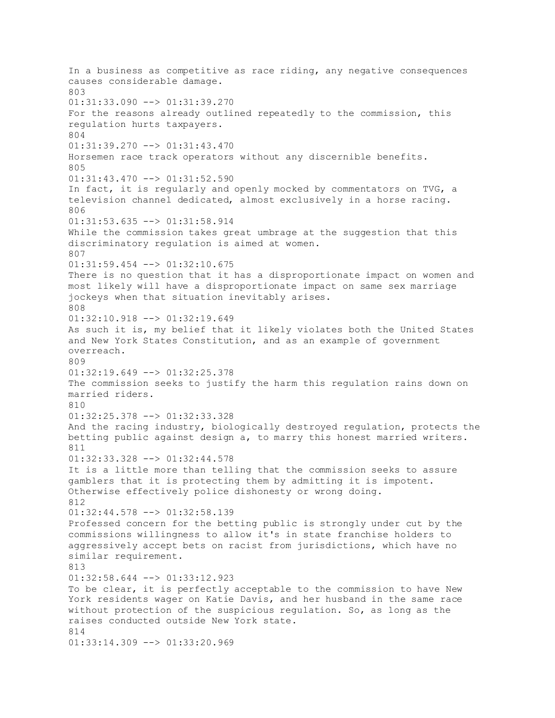In a business as competitive as race riding, any negative consequences causes considerable damage. 803 01:31:33.090 --> 01:31:39.270 For the reasons already outlined repeatedly to the commission, this regulation hurts taxpayers. 804 01:31:39.270 --> 01:31:43.470 Horsemen race track operators without any discernible benefits. 805 01:31:43.470 --> 01:31:52.590 In fact, it is regularly and openly mocked by commentators on TVG, a television channel dedicated, almost exclusively in a horse racing. 806 01:31:53.635 --> 01:31:58.914 While the commission takes great umbrage at the suggestion that this discriminatory regulation is aimed at women. 807 01:31:59.454 --> 01:32:10.675 There is no question that it has a disproportionate impact on women and most likely will have a disproportionate impact on same sex marriage jockeys when that situation inevitably arises. 808 01:32:10.918 --> 01:32:19.649 As such it is, my belief that it likely violates both the United States and New York States Constitution, and as an example of government overreach. 809 01:32:19.649 --> 01:32:25.378 The commission seeks to justify the harm this regulation rains down on married riders. 810 01:32:25.378 --> 01:32:33.328 And the racing industry, biologically destroyed regulation, protects the betting public against design a, to marry this honest married writers. 811 01:32:33.328 --> 01:32:44.578 It is a little more than telling that the commission seeks to assure gamblers that it is protecting them by admitting it is impotent. Otherwise effectively police dishonesty or wrong doing. 812 01:32:44.578 --> 01:32:58.139 Professed concern for the betting public is strongly under cut by the commissions willingness to allow it's in state franchise holders to aggressively accept bets on racist from jurisdictions, which have no similar requirement. 813 01:32:58.644 --> 01:33:12.923 To be clear, it is perfectly acceptable to the commission to have New York residents wager on Katie Davis, and her husband in the same race without protection of the suspicious regulation. So, as long as the raises conducted outside New York state. 814 01:33:14.309 --> 01:33:20.969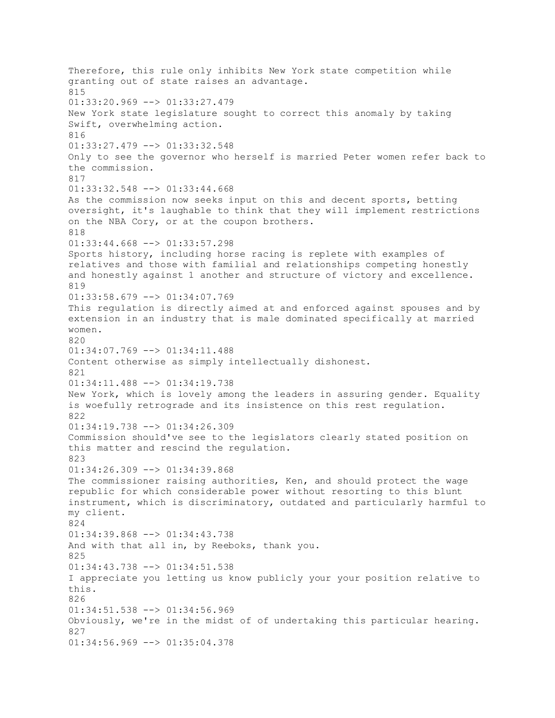Therefore, this rule only inhibits New York state competition while granting out of state raises an advantage. 815  $01:33:20.969$  -->  $01:33:27.479$ New York state legislature sought to correct this anomaly by taking Swift, overwhelming action. 816 01:33:27.479 --> 01:33:32.548 Only to see the governor who herself is married Peter women refer back to the commission. 817 01:33:32.548 --> 01:33:44.668 As the commission now seeks input on this and decent sports, betting oversight, it's laughable to think that they will implement restrictions on the NBA Cory, or at the coupon brothers. 818 01:33:44.668 --> 01:33:57.298 Sports history, including horse racing is replete with examples of relatives and those with familial and relationships competing honestly and honestly against 1 another and structure of victory and excellence. 819 01:33:58.679 --> 01:34:07.769 This regulation is directly aimed at and enforced against spouses and by extension in an industry that is male dominated specifically at married women. 820 01:34:07.769 --> 01:34:11.488 Content otherwise as simply intellectually dishonest. 821 01:34:11.488 --> 01:34:19.738 New York, which is lovely among the leaders in assuring gender. Equality is woefully retrograde and its insistence on this rest regulation. 822 01:34:19.738 --> 01:34:26.309 Commission should've see to the legislators clearly stated position on this matter and rescind the regulation. 823 01:34:26.309 --> 01:34:39.868 The commissioner raising authorities, Ken, and should protect the wage republic for which considerable power without resorting to this blunt instrument, which is discriminatory, outdated and particularly harmful to my client. 824 01:34:39.868 --> 01:34:43.738 And with that all in, by Reeboks, thank you. 825 01:34:43.738 --> 01:34:51.538 I appreciate you letting us know publicly your your position relative to this. 826 01:34:51.538 --> 01:34:56.969 Obviously, we're in the midst of of undertaking this particular hearing. 827 01:34:56.969 --> 01:35:04.378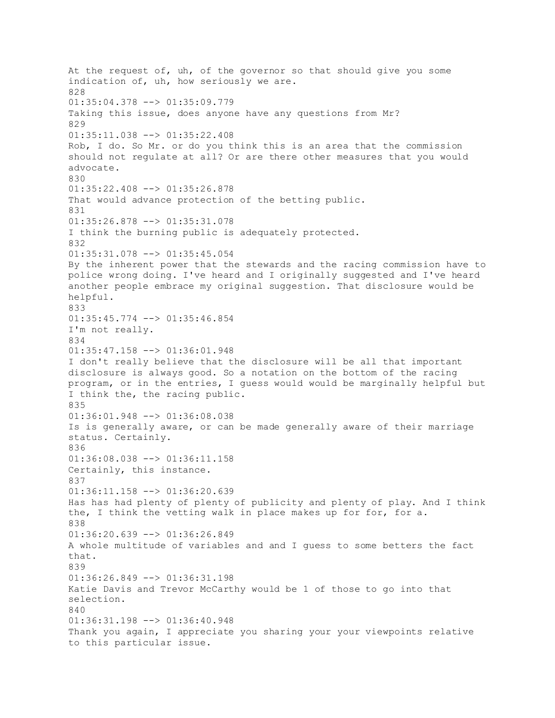At the request of, uh, of the governor so that should give you some indication of, uh, how seriously we are. 828 01:35:04.378 --> 01:35:09.779 Taking this issue, does anyone have any questions from Mr? 829 01:35:11.038 --> 01:35:22.408 Rob, I do. So Mr. or do you think this is an area that the commission should not regulate at all? Or are there other measures that you would advocate. 830 01:35:22.408 --> 01:35:26.878 That would advance protection of the betting public. 831 01:35:26.878 --> 01:35:31.078 I think the burning public is adequately protected. 832 01:35:31.078 --> 01:35:45.054 By the inherent power that the stewards and the racing commission have to police wrong doing. I've heard and I originally suggested and I've heard another people embrace my original suggestion. That disclosure would be helpful. 833 01:35:45.774 --> 01:35:46.854 I'm not really. 834 01:35:47.158 --> 01:36:01.948 I don't really believe that the disclosure will be all that important disclosure is always good. So a notation on the bottom of the racing program, or in the entries, I guess would would be marginally helpful but I think the, the racing public. 835 01:36:01.948 --> 01:36:08.038 Is is generally aware, or can be made generally aware of their marriage status. Certainly. 836 01:36:08.038 --> 01:36:11.158 Certainly, this instance. 837 01:36:11.158 --> 01:36:20.639 Has has had plenty of plenty of publicity and plenty of play. And I think the, I think the vetting walk in place makes up for for, for a. 838 01:36:20.639 --> 01:36:26.849 A whole multitude of variables and and I guess to some betters the fact that. 839 01:36:26.849 --> 01:36:31.198 Katie Davis and Trevor McCarthy would be 1 of those to go into that selection. 840 01:36:31.198 --> 01:36:40.948 Thank you again, I appreciate you sharing your your viewpoints relative to this particular issue.